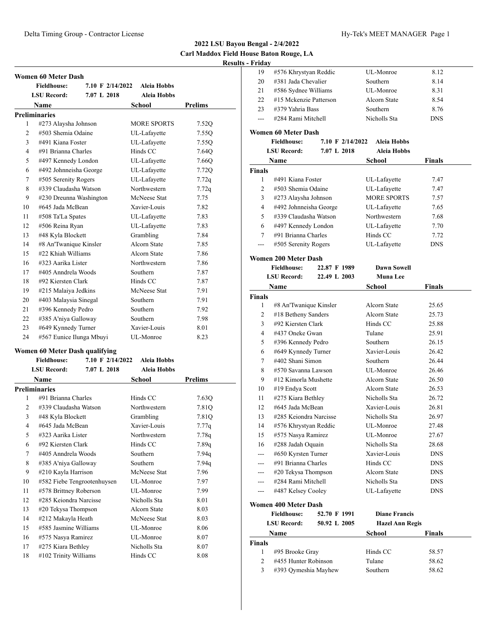**Results - Friday** 

|    | <b>Women 60 Meter Dash</b> |                  |                    |                |
|----|----------------------------|------------------|--------------------|----------------|
|    | <b>Fieldhouse:</b>         | 7.10 F 2/14/2022 | <b>Aleia Hobbs</b> |                |
|    | <b>LSU Record:</b>         | 7.07 L 2018      | <b>Aleia Hobbs</b> |                |
|    | <b>Name</b>                |                  | School             | <b>Prelims</b> |
|    | <b>Preliminaries</b>       |                  |                    |                |
| 1  | #273 Alaysha Johnson       |                  | <b>MORE SPORTS</b> | 7.52Q          |
|    | #503 Shemia Odaine<br>2    |                  | UL-Lafayette       | 7.55Q          |
| 3  | #491 Kiana Foster          |                  | UL-Lafayette       | 7.55Q          |
| 4  | #91 Brianna Charles        |                  | Hinds CC           | 7.64Q          |
| 5  | #497 Kennedy London        |                  | UL-Lafayette       | 7.66Q          |
| 6  | #492 Johnneisha George     |                  | UL-Lafayette       | 7.72Q          |
| 7  | #505 Serenity Rogers       |                  | UL-Lafayette       | 7.72q          |
| 8  | #339 Claudasha Watson      |                  | Northwestern       | 7.72q          |
| 9  | #230 Dreunna Washington    |                  | McNeese Stat       | 7.75           |
| 10 | #645 Jada McBean           |                  | Xavier-Louis       | 7.82           |
| 11 | #508 Ta'La Spates          |                  | UL-Lafayette       | 7.83           |
| 12 | #506 Reina Ryan            |                  | UL-Lafayette       | 7.83           |
| 13 | #48 Kyla Blockett          |                  | Grambling          | 7.84           |
| 14 | #8 An'Twanique Kinsler     |                  | Alcorn State       | 7.85           |
| 15 | #22 Khiah Williams         |                  | Alcorn State       | 7.86           |
| 16 | #323 Aarika Lister         |                  | Northwestern       | 7.86           |
| 17 | #405 Anndrela Woods        |                  | Southern           | 7.87           |
| 18 | #92 Kiersten Clark         |                  | Hinds CC           | 7.87           |
| 19 | #215 Malaiya Jedkins       |                  | McNeese Stat       | 7.91           |
| 20 | #403 Malaysia Sinegal      |                  | Southern           | 7.91           |
| 21 | #396 Kennedy Pedro         |                  | Southern           | 7.92           |
| 22 | #385 A'niya Galloway       |                  | Southern           | 7.98           |
| 23 | #649 Kynnedy Turner        |                  | Xavier-Louis       | 8.01           |
| 24 | #567 Eunice Ilunga Mbuyi   |                  | UL-Monroe          | 8.23           |

# **Women 60 Meter Dash qualifying**

| <b>Fieldhouse:</b> |             | Aleia Hobbs                                                                                                                                                                                                                                                                                                                                                                                                                           |                  |
|--------------------|-------------|---------------------------------------------------------------------------------------------------------------------------------------------------------------------------------------------------------------------------------------------------------------------------------------------------------------------------------------------------------------------------------------------------------------------------------------|------------------|
| <b>LSU Record:</b> | 7.07 L 2018 | Aleia Hobbs                                                                                                                                                                                                                                                                                                                                                                                                                           |                  |
| Name               |             | School                                                                                                                                                                                                                                                                                                                                                                                                                                | Prelims          |
| Preliminaries      |             |                                                                                                                                                                                                                                                                                                                                                                                                                                       |                  |
|                    |             | Hinds CC                                                                                                                                                                                                                                                                                                                                                                                                                              | 7.63Q            |
|                    |             | Northwestern                                                                                                                                                                                                                                                                                                                                                                                                                          | 7.81Q            |
|                    |             | Grambling                                                                                                                                                                                                                                                                                                                                                                                                                             | 7.81Q            |
|                    |             | Xavier-Louis                                                                                                                                                                                                                                                                                                                                                                                                                          | 7.77q            |
|                    |             | Northwestern                                                                                                                                                                                                                                                                                                                                                                                                                          | 7.78q            |
|                    |             | Hinds CC                                                                                                                                                                                                                                                                                                                                                                                                                              | 7.89q            |
|                    |             | Southern                                                                                                                                                                                                                                                                                                                                                                                                                              | 7.94q            |
|                    |             | Southern                                                                                                                                                                                                                                                                                                                                                                                                                              | 7.94q            |
|                    |             | McNeese Stat                                                                                                                                                                                                                                                                                                                                                                                                                          | 7.96             |
|                    |             | UL-Monroe                                                                                                                                                                                                                                                                                                                                                                                                                             | 7.97             |
|                    |             | UL-Monroe                                                                                                                                                                                                                                                                                                                                                                                                                             | 7.99             |
|                    |             | Nicholls Sta                                                                                                                                                                                                                                                                                                                                                                                                                          | 8.01             |
|                    |             | Alcorn State                                                                                                                                                                                                                                                                                                                                                                                                                          | 8.03             |
|                    |             | McNeese Stat                                                                                                                                                                                                                                                                                                                                                                                                                          | 8.03             |
|                    |             | UL-Monroe                                                                                                                                                                                                                                                                                                                                                                                                                             | 8.06             |
|                    |             | UL-Monroe                                                                                                                                                                                                                                                                                                                                                                                                                             | 8.07             |
|                    |             | Nicholls Sta                                                                                                                                                                                                                                                                                                                                                                                                                          | 8.07             |
|                    |             | Hinds CC                                                                                                                                                                                                                                                                                                                                                                                                                              | 8.08             |
|                    |             | #91 Brianna Charles<br>#339 Claudasha Watson<br>#48 Kyla Blockett<br>#645 Jada McBean<br>#323 Aarika Lister<br>#92 Kiersten Clark<br>#405 Anndrela Woods<br>#385 A'niya Galloway<br>#210 Kayla Harrison<br>#582 Fiebe Tengrootenhuysen<br>#578 Brittney Roberson<br>#285 Keiondra Narcisse<br>#20 Tekysa Thompson<br>#212 Makayla Heath<br>#585 Jasmine Williams<br>#575 Nasya Ramirez<br>#275 Kiara Bethley<br>#102 Trinity Williams | 7.10 F 2/14/2022 |

| Friday |                        |              |            |  |
|--------|------------------------|--------------|------------|--|
| 19     | #576 Khrystyan Reddic  | UL-Monroe    | 8.12       |  |
| 20     | #381 Jada Chevalier    | Southern     | 8.14       |  |
| 21     | #586 Sydnee Williams   | UL-Monroe    | 8.31       |  |
| 22     | #15 Mckenzie Patterson | Alcorn State | 8.54       |  |
| 23     | #379 Yahria Bass       | Southern     | 8.76       |  |
|        | #284 Rami Mitchell     | Nicholls Sta | <b>DNS</b> |  |
|        | Women 60 Meter Dash    |              |            |  |

|               | <b>Fieldhouse:</b>     | 7.10 F 2/14/2022 | <b>Aleia Hobbs</b> |               |  |
|---------------|------------------------|------------------|--------------------|---------------|--|
|               | <b>LSU Record:</b>     | 7.07 L 2018      | <b>Aleia Hobbs</b> |               |  |
|               | Name                   |                  | School             | <b>Finals</b> |  |
| <b>Finals</b> |                        |                  |                    |               |  |
|               | #491 Kiana Foster      |                  | UL-Lafayette       | 7.47          |  |
| 2             | #503 Shemia Odaine     |                  | UL-Lafayette       | 7.47          |  |
| 3             | #273 Alaysha Johnson   |                  | <b>MORE SPORTS</b> | 7.57          |  |
| 4             | #492 Johnneisha George |                  | UL-Lafayette       | 7.65          |  |
| 5.            | #339 Claudasha Watson  |                  | Northwestern       | 7.68          |  |
| 6             | #497 Kennedy London    |                  | UL-Lafayette       | 7.70          |  |
| 7             | #91 Brianna Charles    |                  | Hinds CC           | 7.72          |  |
| ---           | #505 Serenity Rogers   |                  | UL-Lafayette       | <b>DNS</b>    |  |

# **Women 200 Meter Dash**

| <b>Fieldhouse:</b><br>22.87 F 1989 |                                    | <b>Dawn Sowell</b> |                        |            |
|------------------------------------|------------------------------------|--------------------|------------------------|------------|
|                                    | <b>LSU</b> Record:<br>22.49 L 2003 |                    | Muna Lee               |            |
| Name                               |                                    | School             | <b>Finals</b>          |            |
| <b>Finals</b>                      |                                    |                    |                        |            |
| 1                                  | #8 An'Twanique Kinsler             |                    | Alcorn State           | 25.65      |
| 2                                  | #18 Betheny Sanders                |                    | Alcorn State           | 25.73      |
| 3                                  | #92 Kiersten Clark                 |                    | Hinds CC               | 25.88      |
| 4                                  | #437 Oneke Gwan                    |                    | Tulane                 | 25.91      |
| 5                                  | #396 Kennedy Pedro                 |                    | Southern               | 26.15      |
| 6                                  | #649 Kynnedy Turner                |                    | Xavier-Louis           | 26.42      |
| 7                                  | #402 Shani Simon                   |                    | Southern               | 26.44      |
| 8                                  | #570 Savanna Lawson                |                    | UL-Monroe              | 26.46      |
| 9                                  | #12 Kimorla Mushette               |                    | Alcorn State           | 26.50      |
| 10                                 | #19 Endya Scott                    |                    | Alcorn State           | 26.53      |
| 11                                 | #275 Kiara Bethley                 |                    | Nicholls Sta           | 26.72      |
| 12                                 | #645 Jada McBean                   |                    | Xavier-Louis           | 26.81      |
| 13                                 | #285 Keiondra Narcisse             |                    | Nicholls Sta           | 26.97      |
| 14                                 | #576 Khrystyan Reddic              |                    | UL-Monroe              | 27.48      |
| 15                                 | #575 Nasya Ramirez                 |                    | UL-Monroe              | 27.67      |
| 16                                 | #288 Jadah Oquain                  |                    | Nicholls Sta           | 28.68      |
| ---                                | #650 Kyrsten Turner                |                    | Xavier-Louis           | <b>DNS</b> |
| ---                                | #91 Brianna Charles                |                    | Hinds CC               | <b>DNS</b> |
|                                    | #20 Tekysa Thompson                |                    | Alcorn State           | <b>DNS</b> |
| ---                                | #284 Rami Mitchell                 |                    | Nicholls Sta           | <b>DNS</b> |
|                                    | #487 Kelsey Cooley                 |                    | UL-Lafayette           | <b>DNS</b> |
|                                    | <b>Women 400 Meter Dash</b>        |                    |                        |            |
|                                    | <b>Fieldhouse:</b>                 | 52.70 F 1991       | <b>Diane Francis</b>   |            |
|                                    | <b>LSU Record:</b>                 | 50.92 L 2005       | <b>Hazel Ann Regis</b> |            |
| Name                               |                                    | <b>School</b>      | Finals                 |            |
| <b>Finals</b>                      |                                    |                    |                        |            |
| 1                                  | #95 Brooke Gray                    |                    | Hinds CC               | 58.57      |
| $\overline{c}$                     | #455 Hunter Robinson               |                    | Tulane                 | 58.62      |
| 3                                  | #393 Qymeshia Mayhew               |                    | Southern               | 58.62      |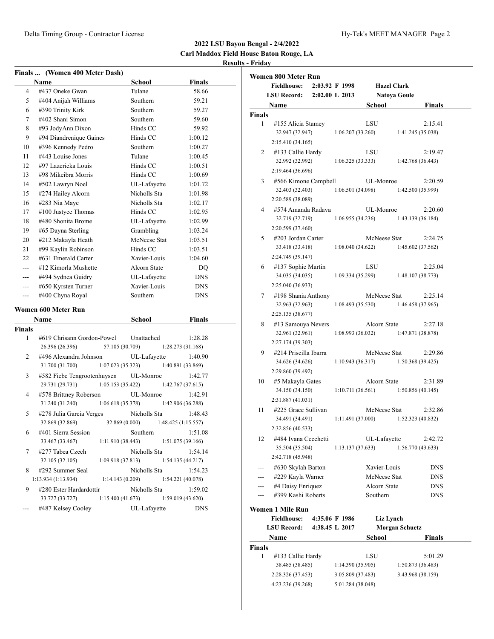|                | Finals  (Women 400 Meter Dash)      |                 |                    |  |
|----------------|-------------------------------------|-----------------|--------------------|--|
|                | Name                                | School          | <b>Finals</b>      |  |
| 4              | #437 Oneke Gwan                     | Tulane          | 58.66              |  |
| 5              | #404 Anijah Williams                | Southern        | 59.21              |  |
| 6              | #390 Trinity Kirk                   | Southern        | 59.27              |  |
| 7              | #402 Shani Simon                    | Southern        | 59.60              |  |
| 8              | #93 JodyAnn Dixon                   | Hinds CC        | 59.92              |  |
| 9              | #94 Diandrenique Gaines             | Hinds CC        | 1:00.12            |  |
| 10             | #396 Kennedy Pedro                  | Southern        | 1:00.27            |  |
| 11             | #443 Louise Jones                   | Tulane          | 1:00.45            |  |
| 12             | #97 Lazericka Louis                 | Hinds CC        | 1:00.51            |  |
| 13             | #98 Mikeibra Morris                 | Hinds CC        | 1:00.69            |  |
| 14             | #502 Lawryn Noel                    | UL-Lafayette    | 1:01.72            |  |
| 15             | #274 Hailey Alcorn                  | Nicholls Sta    | 1:01.98            |  |
| 16             | #283 Nia Maye                       | Nicholls Sta    | 1:02.17            |  |
| 17             | #100 Justyce Thomas                 | Hinds CC        | 1:02.95            |  |
| 18             | #480 Shonita Brome                  | UL-Lafayette    | 1:02.99            |  |
| 19             | #65 Dayna Sterling                  | Grambling       | 1:03.24            |  |
| 20             | #212 Makayla Heath                  | McNeese Stat    | 1:03.51            |  |
| 21             | #99 Kaylin Robinson                 | Hinds CC        | 1:03.51            |  |
| 22             | #631 Emerald Carter                 | Xavier-Louis    | 1:04.60            |  |
| $\overline{a}$ | #12 Kimorla Mushette                |                 |                    |  |
|                |                                     | Alcorn State    | DO                 |  |
| $---$          | #494 Sydnea Guidry                  | UL-Lafayette    | <b>DNS</b>         |  |
| ---            | #650 Kyrsten Turner                 | Xavier-Louis    | <b>DNS</b>         |  |
| ---            | #400 Chyna Royal                    | Southern        | <b>DNS</b>         |  |
|                | <b>Women 600 Meter Run</b>          |                 |                    |  |
|                | Name                                | School          | <b>Finals</b>      |  |
| Finals         |                                     |                 |                    |  |
| 1              | #619 Chrisann Gordon-Powel          | Unattached      | 1:28.28            |  |
|                | 26.396 (26.396)                     | 57.105 (30.709) | 1:28.273 (31.168)  |  |
| 2              | #496 Alexandra Johnson              |                 |                    |  |
|                |                                     |                 |                    |  |
|                |                                     | UL-Lafayette    | 1:40.90            |  |
|                | 31.700 (31.700)<br>1:07.023(35.323) |                 | 1:40.891 (33.869)  |  |
| 3              | #582 Fiebe Tengrootenhuysen         | UL-Monroe       | 1:42.77            |  |
|                | 1:05.153(35.422)<br>29.731 (29.731) |                 | 1:42.767(37.615)   |  |
| 4              | #578 Brittney Roberson              | UL-Monroe       | 1:42.91            |  |
|                | 31.240 (31.240)<br>1:06.618(35.378) |                 | 1:42.906 (36.288)  |  |
| 5              | #278 Julia Garcia Verges            | Nicholls Sta    | 1:48.43            |  |
|                | 32.869 (32.869)                     | 32.869 (0.000)  | 1:48.425(1:15.557) |  |
| 6              | #401 Sierra Session                 | Southern        | $1\text{:}51.08$   |  |
|                | 33.467 (33.467)<br>1:11.910(38.443) |                 | 1:51.075 (39.166)  |  |
| 7              | #277 Tabea Czech                    | Nicholls Sta    | 1:54.14            |  |
|                | 1:09.918(37.813)<br>32.105 (32.105) |                 | 1:54.135(44.217)   |  |
| 8              | #292 Summer Seal                    | Nicholls Sta    | 1:54.23            |  |
|                | 1:13.934 (1:13.934)                 | 1:14.143(0.209) | 1:54.221 (40.078)  |  |
| 9              | #280 Ester Hardardottir             | Nicholls Sta    | 1:59.02            |  |
|                | 33.727 (33.727)<br>1:15.400(41.673) |                 | 1:59.019 (43.620)  |  |

|               | Women 800 Meter Run   |                    |                   |               |                       |                   |
|---------------|-----------------------|--------------------|-------------------|---------------|-----------------------|-------------------|
|               | <b>Fieldhouse:</b>    |                    | 2:03.92 F 1998    |               | <b>Hazel Clark</b>    |                   |
|               | <b>LSU Record:</b>    | $2:02.00$ L $2013$ |                   |               | <b>Natoya Goule</b>   |                   |
|               | Name                  |                    |                   | <b>School</b> |                       | Finals            |
| <b>Finals</b> |                       |                    |                   |               |                       |                   |
| 1             | #155 Alicia Stamey    |                    |                   | LSU           |                       | 2:15.41           |
|               | 32.947 (32.947)       |                    | 1:06.207(33.260)  |               |                       | 1:41.245 (35.038) |
|               | 2:15.410 (34.165)     |                    |                   |               |                       |                   |
| 2             | #133 Callie Hardy     |                    |                   | LSU           |                       | 2:19.47           |
|               | 32.992 (32.992)       |                    | 1:06.325(33.333)  |               |                       | 1:42.768 (36.443) |
|               | 2:19.464 (36.696)     |                    |                   |               |                       |                   |
| 3             | #566 Kimone Campbell  |                    |                   | UL-Monroe     |                       | 2:20.59           |
|               | 32.403 (32.403)       |                    | 1:06.501(34.098)  |               |                       | 1:42.500 (35.999) |
|               | 2:20.589 (38.089)     |                    |                   |               |                       |                   |
| 4             | #574 Amanda Radava    |                    |                   | UL-Monroe     |                       | 2:20.60           |
|               | 32.719 (32.719)       |                    | 1:06.955(34.236)  |               |                       | 1:43.139 (36.184) |
|               | 2:20.599 (37.460)     |                    |                   |               |                       |                   |
| 5             | #203 Jordan Carter    |                    |                   | McNeese Stat  |                       | 2:24.75           |
|               | 33.418 (33.418)       |                    | 1:08.040(34.622)  |               |                       | 1:45.602(37.562)  |
|               | 2:24.749 (39.147)     |                    |                   |               |                       |                   |
| 6             | #137 Sophie Martin    |                    |                   | LSU           |                       | 2:25.04           |
|               | 34.035 (34.035)       |                    | 1:09.334(35.299)  |               |                       | 1:48.107(38.773)  |
|               | 2:25.040 (36.933)     |                    |                   |               |                       |                   |
| 7             | #198 Shania Anthony   |                    |                   | McNeese Stat  |                       | 2:25.14           |
|               | 32.963 (32.963)       |                    | 1:08.493(35.530)  |               |                       | 1:46.458(37.965)  |
|               | 2:25.135 (38.677)     |                    |                   |               |                       |                   |
| 8             | #13 Samouya Nevers    |                    |                   | Alcorn State  |                       | 2:27.18           |
|               | 32.961 (32.961)       |                    | 1:08.993(36.032)  |               |                       | 1:47.871 (38.878) |
|               | 2:27.174 (39.303)     |                    |                   |               |                       |                   |
| 9             | #214 Priscilla Ibarra |                    |                   | McNeese Stat  |                       | 2:29.86           |
|               | 34.626 (34.626)       |                    | 1:10.943(36.317)  |               |                       | 1:50.368(39.425)  |
|               | 2:29.860 (39.492)     |                    |                   |               |                       |                   |
| 10            | #5 Makayla Gates      |                    |                   | Alcorn State  |                       | 2:31.89           |
|               | 34.150 (34.150)       |                    | 1:10.711(36.561)  |               |                       | 1:50.856(40.145)  |
|               | 2:31.887 (41.031)     |                    |                   |               |                       |                   |
| 11            | #225 Grace Sullivan   |                    |                   | McNeese Stat  |                       | 2:32.86           |
|               | 34.491 (34.491)       |                    | 1:11.491(37.000)  |               |                       | 1:52.323 (40.832) |
|               | 2:32.856 (40.533)     |                    |                   |               |                       |                   |
| 12            | #484 Ivana Cecchetti  |                    |                   | UL-Lafayette  |                       | 2:42.72           |
|               | 35.504 (35.504)       |                    | 1:13.137 (37.633) |               |                       | 1:56.770 (43.633) |
|               | 2:42.718 (45.948)     |                    |                   |               |                       |                   |
|               | #630 Skylah Barton    |                    |                   | Xavier-Louis  |                       | <b>DNS</b>        |
|               | #229 Kayla Warner     |                    |                   | McNeese Stat  |                       | <b>DNS</b>        |
|               | #4 Daisy Enriquez     |                    |                   | Alcorn State  |                       | <b>DNS</b>        |
|               | #399 Kashi Roberts    |                    |                   | Southern      |                       | DNS               |
|               | Women 1 Mile Run      |                    |                   |               |                       |                   |
|               | <b>Fieldhouse:</b>    |                    | 4:35.06 F 1986    |               | Liz Lynch             |                   |
|               | <b>LSU Record:</b>    |                    | 4:38.45 L 2017    |               | <b>Morgan Schuetz</b> |                   |
|               | Name                  |                    |                   | School        |                       | Finals            |
| <b>Finals</b> |                       |                    |                   |               |                       |                   |
| 1             | #133 Callie Hardy     |                    |                   | LSU           |                       | 5:01.29           |
|               | 38.485 (38.485)       |                    | 1:14.390(35.905)  |               |                       | 1:50.873 (36.483) |
|               | 2:28.326 (37.453)     |                    | 3:05.809 (37.483) |               |                       | 3:43.968 (38.159) |
|               | 4:23.236 (39.268)     |                    | 5:01.284 (38.048) |               |                       |                   |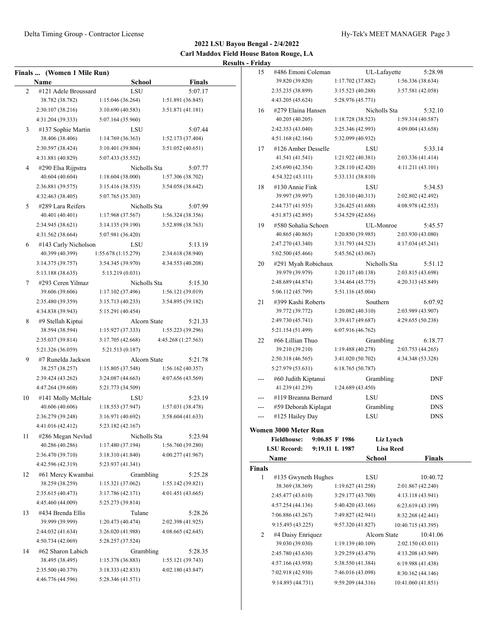|    | Finals  (Women 1 Mile Run) |                     |                     |
|----|----------------------------|---------------------|---------------------|
|    | Name                       | <b>School</b>       | <b>Finals</b>       |
| 2  | #121 Adele Broussard       | LSU                 | 5:07.17             |
|    | 38.782 (38.782)            | 1:15.046 (36.264)   | 1:51.891 (36.845)   |
|    | 2:30.107 (38.216)          | 3:10.690 (40.583)   | 3:51.871 (41.181)   |
|    | 4:31.204 (39.333)          | 5:07.164 (35.960)   |                     |
| 3  | #137 Sophie Martin         | LSU                 | 5:07.44             |
|    | 38.406 (38.406)            | 1:14.769(36.363)    | 1:52.173 (37.404)   |
|    | 2:30.597 (38.424)          | 3:10.401 (39.804)   | 3:51.052 (40.651)   |
|    | 4:31.881 (40.829)          | 5:07.433 (35.552)   |                     |
| 4  | #290 Elsa Rijpstra         | Nicholls Sta        | 5:07.77             |
|    | 40.604 (40.604)            | 1:18.604 (38.000)   | 1:57.306 (38.702)   |
|    | 2:36.881 (39.575)          | 3:15.416 (38.535)   | 3:54.058 (38.642)   |
|    | 4:32.463 (38.405)          | 5:07.765 (35.303)   |                     |
| 5  | #289 Lara Reifers          | Nicholls Sta        | 5:07.99             |
|    | 40.401 (40.401)            | 1:17.968(37.567)    | 1:56.324 (38.356)   |
|    | 2:34.945 (38.621)          | 3:14.135 (39.190)   | 3:52.898 (38.763)   |
|    | 4:31.562 (38.664)          | 5:07.981 (36.420)   |                     |
| 6  | #143 Carly Nicholson       | LSU                 | 5:13.19             |
|    | 40.399 (40.399)            | 1:55.678 (1:15.279) | 2:34.618 (38.940)   |
|    | 3:14.375 (39.757)          | 3:54.345 (39.970)   | 4:34.553 (40.208)   |
|    | 5:13.188 (38.635)          | 5:13.219 (0.031)    |                     |
| 7  | #293 Ceren Yilmaz          | Nicholls Sta        | 5:15.30             |
|    | 39.606 (39.606)            | 1:17.102 (37.496)   | 1:56.121 (39.019)   |
|    | 2:35.480 (39.359)          | 3:15.713 (40.233)   | 3:54.895 (39.182)   |
|    | 4:34.838 (39.943)          | 5:15.291 (40.454)   |                     |
| 8  | #9 Stellah Kiptui          | Alcorn State        | 5:21.33             |
|    | 38.594 (38.594)            | 1:15.927 (37.333)   | 1:55.223 (39.296)   |
|    | 2:35.037 (39.814)          | 3:17.705 (42.668)   | 4:45.268 (1:27.563) |
|    | 5:21.326 (36.059)          | 5:21.513 (0.187)    |                     |
| 9  | #7 Runelda Jackson         | Alcorn State        | 5:21.78             |
|    | 38.257 (38.257)            | 1:15.805 (37.548)   | 1:56.162(40.357)    |
|    | 2:39.424 (43.262)          | 3:24.087(44.663)    | 4:07.656 (43.569)   |
|    | 4:47.264 (39.608)          | 5:21.773 (34.509)   |                     |
| 10 | #141 Molly McHale          | LSU                 | 5:23.19             |
|    | 40.606 (40.606)            | 1:18.553 (37.947)   | 1:57.031 (38.478)   |
|    | 2:36.279 (39.248)          | 3:16.971 (40.692)   | 3:58.604 (41.633)   |
|    | 4:41.016 (42.412)          | 5:23.182 (42.167)   |                     |
| 11 | #286 Megan Nevlud          | Nicholls Sta        | 5:23.94             |
|    | 40.286 (40.286)            | 1:17.480 (37.194)   | 1:56.760 (39.280)   |
|    | 2:36.470 (39.710)          | 3:18.310(41.840)    | 4:00.277 (41.967)   |
|    | 4:42.596 (42.319)          | 5:23.937 (41.341)   |                     |
| 12 | #61 Mercy Kwambai          | Grambling           | 5:25.28             |
|    | 38.259 (38.259)            | 1:15.321(37.062)    | 1:55.142(39.821)    |
|    | 2:35.615 (40.473)          | 3:17.786(42.171)    | 4:01.451 (43.665)   |
|    | 4:45.460 (44.009)          | 5:25.273 (39.814)   |                     |
| 13 | #434 Brenda Ellis          | Tulane              | 5:28.26             |
|    | 39.999 (39.999)            | 1:20.473 (40.474)   | 2:02.398 (41.925)   |
|    | 2:44.032 (41.634)          | 3:26.020 (41.988)   | 4:08.665(42.645)    |
|    | 4:50.734 (42.069)          | 5:28.257 (37.524)   |                     |
| 14 | #62 Sharon Labich          | Grambling           | 5:28.35             |
|    | 38.495 (38.495)            | 1:15.378 (36.883)   | 1:55.121 (39.743)   |
|    | 2:35.500 (40.379)          | 3:18.333(42.833)    | 4:02.180 (43.847)   |
|    | 4:46.776 (44.596)          | 5:28.346 (41.571)   |                     |
|    |                            |                     |                     |

| 15     | #486 Emoni Coleman                         |                   |     | UL-Lafayette     |                    | 5:28.98    |  |
|--------|--------------------------------------------|-------------------|-----|------------------|--------------------|------------|--|
|        | 39.820 (39.820)                            | 1:17.702 (37.882) |     |                  | 1:56.336 (38.634)  |            |  |
|        | 2:35.235 (38.899)                          | 3:15.523 (40.288) |     |                  | 3:57.581 (42.058)  |            |  |
|        | 4:43.205 (45.624)                          | 5:28.976 (45.771) |     |                  |                    |            |  |
| 16     | #279 Elaina Hansen                         |                   |     | Nicholls Sta     |                    | 5:32.10    |  |
|        | 40.205 (40.205)                            | 1:18.728 (38.523) |     |                  | 1:59.314 (40.587)  |            |  |
|        | 2:42.353 (43.040)                          | 3:25.346 (42.993) |     |                  | 4:09.004 (43.658)  |            |  |
|        | 4:51.168 (42.164)                          | 5:32.099 (40.932) |     |                  |                    |            |  |
| 17     | #126 Amber Desselle                        |                   | LSU |                  |                    | 5:33.14    |  |
|        | 41.541 (41.541)                            | 1:21.922 (40.381) |     |                  | 2:03.336 (41.414)  |            |  |
|        | 2:45.690 (42.354)                          | 3:28.110 (42.420) |     |                  | 4:11.211 (43.101)  |            |  |
|        | 4:54.322 (43.111)                          | 5:33.131 (38.810) |     |                  |                    |            |  |
| 18     | #130 Annie Fink                            |                   | LSU |                  |                    | 5:34.53    |  |
|        | 39.997 (39.997)                            | 1:20.310 (40.313) |     |                  | 2:02.802 (42.492)  |            |  |
|        | 2:44.737 (41.935)                          | 3:26.425 (41.688) |     |                  | 4:08.978 (42.553)  |            |  |
|        | 4:51.873 (42.895)                          | 5:34.529 (42.656) |     |                  |                    |            |  |
| 19     | #580 Sohalia Schoen                        |                   |     | UL-Monroe        |                    | 5:45.57    |  |
|        | 40.865 (40.865)                            | 1:20.850 (39.985) |     |                  | 2:03.930 (43.080)  |            |  |
|        | 2:47.270 (43.340)                          | 3:31.793 (44.523) |     |                  | 4:17.034 (45.241)  |            |  |
|        | 5:02.500 (45.466)                          | 5:45.562 (43.063) |     |                  |                    |            |  |
| 20     | #291 Myah Robichaux                        |                   |     | Nicholls Sta     |                    | 5:51.12    |  |
|        | 39.979 (39.979)                            | 1:20.117 (40.138) |     |                  | 2:03.815 (43.698)  |            |  |
|        | 2:48.689 (44.874)                          | 3:34.464 (45.775) |     |                  | 4:20.313 (45.849)  |            |  |
|        | 5:06.112 (45.799)                          | 5:51.116 (45.004) |     |                  |                    |            |  |
| 21     | #399 Kashi Roberts                         |                   |     | Southern         |                    | 6:07.92    |  |
|        | 39.772 (39.772)                            | 1:20.082(40.310)  |     |                  | 2:03.989 (43.907)  |            |  |
|        | 2:49.730 (45.741)                          | 3:39.417 (49.687) |     |                  | 4:29.655 (50.238)  |            |  |
|        | 5:21.154 (51.499)                          | 6:07.916 (46.762) |     |                  |                    |            |  |
| 22     | #66 Lillian Thuo                           |                   |     | Grambling        |                    | 6:18.77    |  |
|        | 39.210 (39.210)                            | 1:19.488 (40.278) |     |                  | 2:03.753 (44.265)  |            |  |
|        | 2:50.318 (46.565)                          | 3:41.020 (50.702) |     |                  | 4:34.348 (53.328)  |            |  |
|        | 5:27.979 (53.631)                          | 6:18.765 (50.787) |     |                  |                    |            |  |
|        | #60 Judith Kiptanui                        |                   |     | Grambling        |                    | DNF        |  |
|        | 41.239 (41.239)                            | 1:24.689 (43.450) |     |                  |                    |            |  |
| ---    | #119 Breanna Bernard                       |                   | LSU |                  |                    | <b>DNS</b> |  |
| ---    | #59 Deborah Kiplagat                       |                   |     | Grambling        |                    | DNS        |  |
| ---    | #125 Hailey Day                            |                   | LSU |                  |                    | DNS        |  |
|        |                                            |                   |     |                  |                    |            |  |
|        | Women 3000 Meter Run<br><b>Fieldhouse:</b> | 9:06.85 F 1986    |     | Liz Lynch        |                    |            |  |
|        | <b>LSU Record:</b>                         | 9:19.11 L 1987    |     | <b>Lisa Reed</b> |                    |            |  |
|        | Name                                       |                   |     | School           |                    | Finals     |  |
| Finals |                                            |                   |     |                  |                    |            |  |
| 1      | #135 Gwyneth Hughes                        |                   | LSU |                  |                    | 10:40.72   |  |
|        | 38.369 (38.369)                            | 1:19.627 (41.258) |     |                  | 2:01.867 (42.240)  |            |  |
|        | 2:45.477 (43.610)                          | 3:29.177 (43.700) |     |                  | 4:13.118 (43.941)  |            |  |
|        | 4:57.254 (44.136)                          | 5:40.420 (43.166) |     |                  | 6:23.619 (43.199)  |            |  |
|        | 7:06.886 (43.267)                          | 7:49.827 (42.941) |     |                  | 8:32.268 (42.441)  |            |  |
|        | 9:15.493 (43.225)                          | 9:57.320 (41.827) |     |                  | 10:40.715 (43.395) |            |  |
| 2      | #4 Daisy Enriquez                          |                   |     | Alcorn State     |                    | 10:41.06   |  |
|        | 39.030 (39.030)                            | 1:19.139 (40.109) |     |                  | 2:02.150 (43.011)  |            |  |
|        | 2:45.780 (43.630)                          | 3:29.259 (43.479) |     |                  | 4:13.208 (43.949)  |            |  |
|        | 4:57.166 (43.958)                          | 5:38.550 (41.384) |     |                  | 6:19.988 (41.438)  |            |  |
|        | 7:02.918 (42.930)                          | 7:46.016 (43.098) |     |                  | 8:30.162 (44.146)  |            |  |
|        | 9:14.893 (44.731)                          | 9:59.209 (44.316) |     |                  | 10:41.060 (41.851) |            |  |
|        |                                            |                   |     |                  |                    |            |  |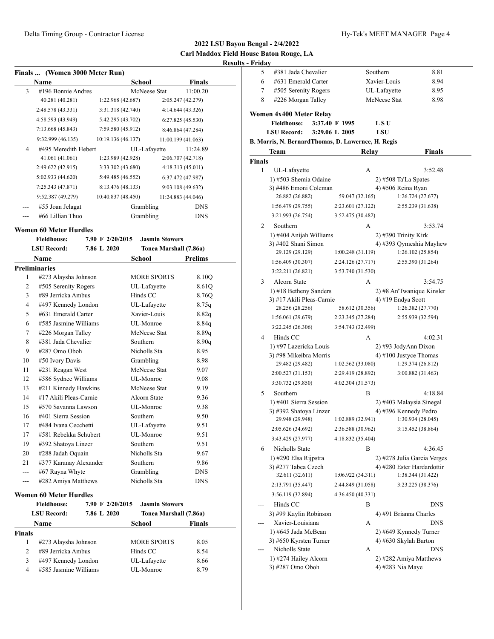| <b>Finals</b> | (Women 3000 Meter Run) |  |  |
|---------------|------------------------|--|--|
|               |                        |  |  |

| Name               | School               |                                                                                                                                                                                                                  | <b>Finals</b>                                          |
|--------------------|----------------------|------------------------------------------------------------------------------------------------------------------------------------------------------------------------------------------------------------------|--------------------------------------------------------|
| #196 Bonnie Andres |                      |                                                                                                                                                                                                                  | 11:00.20                                               |
| 40.281 (40.281)    |                      | 2:05.247 (42.279)                                                                                                                                                                                                |                                                        |
| 2:48.578 (43.331)  |                      | 4:14.644 (43.326)                                                                                                                                                                                                |                                                        |
| 4:58.593 (43.949)  |                      | 6:27.825(45.530)                                                                                                                                                                                                 |                                                        |
| 7:13.668(45.843)   |                      | 8:46.864 (47.284)                                                                                                                                                                                                |                                                        |
| 9:32.999 (46.135)  |                      | 11:00.199 (41.063)                                                                                                                                                                                               |                                                        |
|                    |                      |                                                                                                                                                                                                                  | 11:24.89                                               |
| 41.061 (41.061)    |                      | 2:06.707 (42.718)                                                                                                                                                                                                |                                                        |
| 2:49.622 (42.915)  |                      | 4:18.313 (45.011)                                                                                                                                                                                                |                                                        |
| 5:02.933 (44.620)  |                      | 6:37.472 (47.987)                                                                                                                                                                                                |                                                        |
| 7:25.343 (47.871)  |                      | 9:03.108 (49.632)                                                                                                                                                                                                |                                                        |
| 9:52.387 (49.279)  |                      | 11:24.883 (44.046)                                                                                                                                                                                               |                                                        |
| #55 Joan Jelagat   |                      |                                                                                                                                                                                                                  | <b>DNS</b>                                             |
| #66 Lillian Thuo   |                      |                                                                                                                                                                                                                  | <b>DNS</b>                                             |
|                    | #495 Meredith Hebert | 1:22.968 (42.687)<br>3:31.318 (42.740)<br>5:42.295 (43.702)<br>7:59.580 (45.912)<br>10:19.136 (46.137)<br>1:23.989 (42.928)<br>3:33.302 (43.680)<br>5:49.485 (46.552)<br>8:13.476 (48.133)<br>10:40.837 (48.450) | McNeese Stat<br>UL-Lafayette<br>Grambling<br>Grambling |

## **Women 60 Meter Hurdles**

|                    | <b>Fieldhouse:</b>            | 7.90 F 2/20/2015 | <b>Jasmin Stowers</b>  |            |
|--------------------|-------------------------------|------------------|------------------------|------------|
| <b>LSU Record:</b> |                               | 7.86 L 2020      | Tonea Marshall (7.86a) |            |
|                    | Name                          |                  | School                 | Prelims    |
|                    | <b>Preliminaries</b>          |                  |                        |            |
| 1                  | #273 Alaysha Johnson          |                  | <b>MORE SPORTS</b>     | 8.10O      |
| $\overline{c}$     | #505 Serenity Rogers          |                  | UL-Lafayette           | 8.61Q      |
| 3                  | #89 Jerricka Ambus            |                  | Hinds CC               | 8.76Q      |
| $\overline{4}$     | #497 Kennedy London           |                  | UL-Lafayette           | 8.75q      |
| 5                  | #631 Emerald Carter           |                  | Xavier-Louis           | 8.82q      |
| 6                  | #585 Jasmine Williams         |                  | UL-Monroe              | 8.84q      |
| 7                  | #226 Morgan Talley            |                  | McNeese Stat           | 8.89q      |
| 8                  | #381 Jada Chevalier           |                  | Southern               | 8.90q      |
| 9                  | #287 Omo Oboh                 |                  | Nicholls Sta           | 8.95       |
| 10                 | #50 Ivory Davis               |                  | Grambling              | 8.98       |
| 11                 | #231 Reagan West              |                  | McNeese Stat           | 9.07       |
| 12                 | #586 Sydnee Williams          |                  | UL-Monroe              | 9.08       |
| 13                 | #211 Kinnady Hawkins          |                  | McNeese Stat           | 9.19       |
| 14                 | #17 Akili Pleas-Carnie        |                  | Alcorn State           | 9.36       |
| 15                 | #570 Savanna Lawson           |                  | UL-Monroe              | 9.38       |
| 16                 | #401 Sierra Session           |                  | Southern               | 9.50       |
| 17                 | #484 Ivana Cecchetti          |                  | UL-Lafayette           | 9.51       |
| 17                 | #581 Rebekka Schubert         |                  | UL-Monroe              | 9.51       |
| 19                 | #392 Shatoya Linzer           |                  | Southern               | 9.51       |
| 20                 | #288 Jadah Oquain             |                  | Nicholls Sta           | 9.67       |
| 21                 | #377 Karanay Alexander        |                  | Southern               | 9.86       |
| ---                | #67 Rayna Whyte               |                  | Grambling              | <b>DNS</b> |
|                    | #282 Amiya Matthews           |                  | Nicholls Sta           | <b>DNS</b> |
|                    | <b>Women 60 Meter Hurdles</b> |                  |                        |            |
|                    | <b>Fieldhouse:</b>            | 7.90 F 2/20/2015 | <b>Jasmin Stowers</b>  |            |
|                    | <b>LSU Record:</b>            | 7.86 L 2020      | Tonea Marshall (7.86a) |            |
|                    | <b>Name</b>                   |                  | <b>School</b>          | Finals     |
| Finals             |                               |                  |                        |            |
| 1                  | #273 Alaysha Johnson          |                  | <b>MORE SPORTS</b>     | 8.05       |
| $\overline{c}$     | #89 Jerricka Ambus            |                  | Hinds CC               | 8.54       |

3 #497 Kennedy London UL-Lafayette 8.66 4 #585 Jasmine Williams UL-Monroe 8.79

| Friday |                                                    |                   |                      |                                                   |
|--------|----------------------------------------------------|-------------------|----------------------|---------------------------------------------------|
| 5      | #381 Jada Chevalier                                |                   | Southern             | 8.81                                              |
| 6      | #631 Emerald Carter                                |                   | Xavier-Louis         | 8.94                                              |
| 7      | #505 Serenity Rogers                               |                   | UL-Lafayette         | 8.95                                              |
| 8      | #226 Morgan Talley                                 |                   | McNeese Stat         | 8.98                                              |
|        | Women 4x400 Meter Relay                            |                   |                      |                                                   |
|        | <b>Fieldhouse:</b>                                 | 3:37.40 F 1995    | LSU                  |                                                   |
|        | <b>LSU Record:</b>                                 | 3:29.06 L 2005    | LSU                  |                                                   |
|        | B. Morris, N. BernardThomas, D. Lawernce, H. Regis |                   |                      |                                                   |
|        | Team                                               | Relay             |                      | <b>Finals</b>                                     |
| Finals |                                                    |                   |                      |                                                   |
| 1      | UL-Lafayette                                       | А                 |                      | 3:52.48                                           |
|        | 1) #503 Shemia Odaine                              |                   | 2) #508 Ta'La Spates |                                                   |
|        | 3) #486 Emoni Coleman                              |                   | 4) #506 Reina Ryan   |                                                   |
|        | 26.882 (26.882)                                    | 59.047 (32.165)   |                      | 1:26.724 (27.677)                                 |
|        | 1:56.479(29.755)                                   | 2:23.601 (27.122) |                      | 2:55.239 (31.638)                                 |
|        | 3:21.993 (26.754)                                  | 3:52.475 (30.482) |                      |                                                   |
| 2      | Southern                                           | А                 |                      | 3:53.74                                           |
|        | 1) #404 Anijah Williams                            |                   | 2) #390 Trinity Kirk |                                                   |
|        | 3) #402 Shani Simon                                |                   |                      | 4) #393 Qymeshia Mayhew                           |
|        | 29.129 (29.129)                                    | 1:00.248(31.119)  |                      | 1:26.102 (25.854)                                 |
|        | 1:56.409 (30.307)                                  | 2:24.126 (27.717) |                      | 2:55.390 (31.264)                                 |
|        | 3:22.211 (26.821)                                  | 3:53.740 (31.530) |                      |                                                   |
| 3      | Alcorn State                                       | А                 |                      | 3:54.75                                           |
|        | 1) #18 Betheny Sanders                             |                   |                      | 2) #8 An'Twanique Kinsler                         |
|        | 3) #17 Akili Pleas-Carnie                          |                   | 4) #19 Endya Scott   |                                                   |
|        | 28.256 (28.256)                                    | 58.612 (30.356)   |                      | 1:26.382 (27.770)                                 |
|        | 1:56.061 (29.679)                                  | 2:23.345 (27.284) |                      | 2:55.939 (32.594)                                 |
|        | 3:22.245 (26.306)                                  | 3:54.743 (32.499) |                      |                                                   |
| 4      | Hinds CC                                           | А                 |                      | 4:02.31                                           |
|        | 1) #97 Lazericka Louis                             |                   |                      | 2) #93 JodyAnn Dixon                              |
|        | 3) #98 Mikeibra Morris                             |                   |                      | 4) #100 Justyce Thomas                            |
|        | 29.482 (29.482)                                    | 1:02.562(33.080)  |                      | 1:29.374 (26.812)                                 |
|        | 2:00.527 (31.153)                                  | 2:29.419 (28.892) |                      | 3:00.882 (31.463)                                 |
|        | 3:30.732 (29.850)                                  | 4:02.304 (31.573) |                      |                                                   |
| 5      | Southern                                           | B                 |                      | 4:18.84                                           |
|        | 1) #401 Sierra Session<br>3) #392 Shatoya Linzer   |                   |                      | 2) #403 Malaysia Sinegal<br>4) #396 Kennedy Pedro |
|        | 29.948 (29.948)                                    | 1:02.889 (32.941) |                      | 1:30.934 (28.045)                                 |
|        | 2:05.626 (34.692)                                  | 2:36.588 (30.962) |                      | 3:15.452 (38.864)                                 |
|        | 3:43.429 (27.977)                                  | 4:18.832 (35.404) |                      |                                                   |
| 6      | Nicholls State                                     | B                 |                      | 4:36.45                                           |
|        | 1) #290 Elsa Rijpstra                              |                   |                      | 2) #278 Julia Garcia Verges                       |
|        | 3) #277 Tabea Czech                                |                   |                      | 4) #280 Ester Hardardottir                        |
|        | 32.611 (32.611)                                    | 1:06.922 (34.311) |                      | 1:38.344 (31.422)                                 |
|        | 2:13.791 (35.447)                                  | 2:44.849 (31.058) |                      | 3:23.225 (38.376)                                 |
|        | 3:56.119 (32.894)                                  | 4:36.450 (40.331) |                      |                                                   |
|        | Hinds CC                                           | B                 |                      | DNS                                               |
|        | 3) #99 Kaylin Robinson                             |                   |                      | 4) #91 Brianna Charles                            |
|        | Xavier-Louisiana                                   | А                 |                      | DNS                                               |
|        | 1) #645 Jada McBean                                |                   |                      | 2) #649 Kynnedy Turner                            |
|        | 3) #650 Kyrsten Turner                             |                   |                      | 4) #630 Skylah Barton                             |
|        | Nicholls State                                     | А                 |                      | DNS                                               |
|        | 1) #274 Hailey Alcorn                              |                   |                      | 2) #282 Amiya Matthews                            |
|        | 3) #287 Omo Oboh                                   |                   | 4) #283 Nia Maye     |                                                   |
|        |                                                    |                   |                      |                                                   |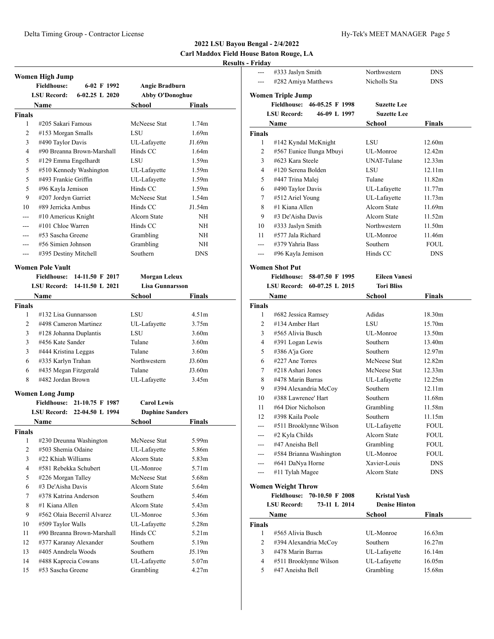# **2022 LSU Bayou Bengal - 2/4/2022 Carl Maddox Field House Baton Rouge, LA**

# **Results - Friday**

|                | Women High Jump                          |                        |                   |  |
|----------------|------------------------------------------|------------------------|-------------------|--|
|                | <b>Fieldhouse:</b><br>6-02 F 1992        | Angie Bradburn         |                   |  |
|                | $6-02.25$ L $2020$<br><b>LSU Record:</b> | <b>Abby O'Donoghue</b> |                   |  |
|                | Name                                     | School                 | Finals            |  |
| Finals         |                                          |                        |                   |  |
| 1              | #205 Sakari Famous                       | McNeese Stat           | 1.74m             |  |
| 2              | #153 Morgan Smalls                       | LSU                    | 1.69m             |  |
| 3              | #490 Taylor Davis                        | UL-Lafayette           | J1.69m            |  |
| 4              | #90 Breanna Brown-Marshall               | Hinds CC               | 1.64m             |  |
| 5              | #129 Emma Engelhardt                     | LSU                    | 1.59m             |  |
| 5              | #510 Kennedy Washington                  | UL-Lafayette           | 1.59m             |  |
| 5              | #493 Frankie Griffin                     | UL-Lafayette           | 1.59m             |  |
| 5              | #96 Kayla Jemison                        | Hinds CC               | 1.59m             |  |
| 9              | #207 Jordyn Garriet                      | McNeese Stat           | 1.54m             |  |
| 10             | #89 Jerricka Ambus                       | Hinds CC               | J1.54m            |  |
| ---            | $#10$ Americus Knight                    | Alcorn State           | NH                |  |
|                | #101 Chloe Warren                        | Hinds CC               | NH                |  |
| ---            | #53 Sascha Greene                        | Grambling              | NH                |  |
| ---            | #56 Simien Johnson                       | Grambling              | NH                |  |
|                | #395 Destiny Mitchell                    | Southern               | <b>DNS</b>        |  |
|                |                                          |                        |                   |  |
|                | <b>Women Pole Vault</b>                  |                        |                   |  |
|                | <b>Fieldhouse:</b><br>14-11.50 F 2017    | <b>Morgan Leleux</b>   |                   |  |
|                | LSU Record:<br>14-11.50 L 2021           | <b>Lisa Gunnarsson</b> |                   |  |
|                | <b>Name</b>                              | School                 | Finals            |  |
| <b>Finals</b>  |                                          |                        |                   |  |
| 1              | #132 Lisa Gunnarsson                     | LSU                    | 4.51 <sub>m</sub> |  |
| 2              | #498 Cameron Martinez                    | UL-Lafayette           | 3.75m             |  |
| 3              | #128 Johanna Duplantis                   | LSU                    | 3.60 <sub>m</sub> |  |
| 3              | #456 Kate Sander                         | Tulane                 | 3.60 <sub>m</sub> |  |
| 3              | #444 Kristina Leggas                     | Tulane                 | 3.60 <sub>m</sub> |  |
| 6              | #335 Karlyn Trahan                       | Northwestern           | J3.60m            |  |
| 6              | #435 Megan Fitzgerald                    | Tulane                 | J3.60m            |  |
| 8              | #482 Jordan Brown                        | UL-Lafayette           | 3.45m             |  |
|                | <b>Women Long Jump</b>                   |                        |                   |  |
|                | <b>Fieldhouse:</b><br>21-10.75 F 1987    | <b>Carol Lewis</b>     |                   |  |
|                | 22-04.50 L 1994<br>LSU Record:           | <b>Daphine Sanders</b> |                   |  |
|                | Name                                     | School                 | Finals            |  |
| Finals         |                                          |                        |                   |  |
| 1              | #230 Dreunna Washington                  | McNeese Stat           | 5.99m             |  |
| $\overline{2}$ | #503 Shemia Odaine                       | UL-Lafayette           | 5.86m             |  |
| 3              | #22 Khiah Williams                       | Alcorn State           | 5.83m             |  |
| 4              | #581 Rebekka Schubert                    | UL-Monroe              | 5.71m             |  |
| 5              | #226 Morgan Talley                       | McNeese Stat           | 5.68m             |  |
| 6              | #3 De'Aisha Davis                        | Alcorn State           | 5.64m             |  |
| 7              | #378 Katrina Anderson                    | Southern               | 5.46m             |  |
| 8              | #1 Kiana Allen                           | Alcorn State           | 5.43m             |  |
| 9              | #562 Olaia Becerril Alvarez              | UL-Monroe              | 5.36m             |  |
| 10             | #509 Taylor Walls                        | UL-Lafayette           | 5.28m             |  |
| 11             | #90 Breanna Brown-Marshall               | Hinds CC               | 5.21m             |  |
| 12             | #377 Karanay Alexander                   | Southern               | 5.19m             |  |
| 13             | #405 Anndrela Woods                      | Southern               | J5.19m            |  |
| 14             | #488 Kaprecia Cowans                     | UL-Lafayette           | 5.07m             |  |
| 15             | #53 Sascha Greene                        | Grambling              | 4.27m             |  |
|                |                                          |                        |                   |  |

| 1 may              |                                                                   |                      |               |
|--------------------|-------------------------------------------------------------------|----------------------|---------------|
| ---                | #333 Jaslyn Smith                                                 | Northwestern         | <b>DNS</b>    |
| $---$              | #282 Amiya Matthews                                               | Nicholls Sta         | DNS           |
|                    |                                                                   |                      |               |
|                    | <b>Women Triple Jump</b><br><b>Fieldhouse:</b><br>46-05.25 F 1998 | <b>Suzette Lee</b>   |               |
|                    | <b>LSU Record:</b><br>46-09 L 1997                                | <b>Suzette Lee</b>   |               |
|                    |                                                                   |                      |               |
|                    | Name                                                              | School               | <b>Finals</b> |
| <b>Finals</b><br>1 |                                                                   | LSU                  | 12.60m        |
| 2                  | #142 Kyndal McKnight<br>#567 Eunice Ilunga Mbuyi                  | UL-Monroe            | 12.42m        |
| 3                  | #623 Kara Steele                                                  | <b>UNAT-Tulane</b>   | 12.33m        |
| 4                  | #120 Serena Bolden                                                | LSU                  | 12.11m        |
| 5                  | #447 Trina Malej                                                  | Tulane               | 11.82m        |
| 6                  | #490 Taylor Davis                                                 | UL-Lafayette         | 11.77m        |
| 7                  | #512 Ariel Young                                                  | UL-Lafayette         | 11.73m        |
| 8                  | #1 Kiana Allen                                                    | <b>Alcorn State</b>  | 11.69m        |
| 9                  | #3 De'Aisha Davis                                                 | <b>Alcorn State</b>  | 11.52m        |
| 10                 | #333 Jaslyn Smith                                                 | Northwestern         | 11.50m        |
| 11                 | #577 Jala Richard                                                 | UL-Monroe            | 11.46m        |
| $\overline{a}$     | #379 Yahria Bass                                                  | Southern             | <b>FOUL</b>   |
| ---                | #96 Kayla Jemison                                                 | Hinds CC             | <b>DNS</b>    |
|                    |                                                                   |                      |               |
|                    | <b>Women Shot Put</b><br>Fieldhouse: 58-07.50 F 1995              | <b>Eileen Vanesi</b> |               |
|                    | LSU Record: 60-07.25 L 2015                                       | <b>Tori Bliss</b>    |               |
|                    | Name                                                              | <b>School</b>        | <b>Finals</b> |
| <b>Finals</b>      |                                                                   |                      |               |
| 1                  | #682 Jessica Ramsey                                               | Adidas               | 18.30m        |
| 2                  | #134 Amber Hart                                                   | LSU                  | 15.70m        |
| 3                  | #565 Alivia Busch                                                 | UL-Monroe            | 13.50m        |
| 4                  | #391 Logan Lewis                                                  | Southern             | 13.40m        |
| 5                  | #386 A'ja Gore                                                    | Southern             | 12.97m        |
| 6                  | #227 Ane Torres                                                   | McNeese Stat         | 12.82m        |
| 7                  | #218 Ashari Jones                                                 | McNeese Stat         | 12.33m        |
| 8                  | #478 Marin Barras                                                 | UL-Lafayette         | 12.25m        |
| 9                  | #394 Alexandria McCoy                                             | Southern             | 12.11m        |
| 10                 | #388 Lawrenee' Hart                                               | Southern             | 11.68m        |
| 11                 | #64 Dior Nicholson                                                | Grambling            | 11.58m        |
| 12                 | #398 Kaila Poole                                                  | Southern             | 11.15m        |
|                    | #511 Brooklynne Wilson                                            | UL-Lafayette         | FOUL          |
| ---                | #2 Kyla Childs                                                    | Alcorn State         | FOUL          |
| ---                | #47 Aneisha Bell                                                  | Grambling            | FOUL          |
|                    | #584 Brianna Washington                                           | UL-Monroe            | FOUL          |
|                    | #641 DaNya Horne                                                  | Xavier-Louis         | <b>DNS</b>    |
| ---                | #11 Tylah Magee                                                   | Alcorn State         | <b>DNS</b>    |
|                    | <b>Women Weight Throw</b>                                         |                      |               |
|                    | Fieldhouse: 70-10.50 F 2008                                       | <b>Kristal Yush</b>  |               |
|                    | 73-11 L 2014<br><b>LSU Record:</b>                                | <b>Denise Hinton</b> |               |
|                    | Name                                                              | School               | Finals        |
| Finals             |                                                                   |                      |               |
| 1                  | #565 Alivia Busch                                                 | UL-Monroe            | 16.63m        |
| 2                  | #394 Alexandria McCoy                                             | Southern             | 16.27m        |
| 3                  | #478 Marin Barras                                                 | UL-Lafayette         | 16.14m        |
| 4                  | #511 Brooklynne Wilson                                            | UL-Lafayette         | 16.05m        |
| 5                  | #47 Aneisha Bell                                                  | Grambling            | 15.68m        |
|                    |                                                                   |                      |               |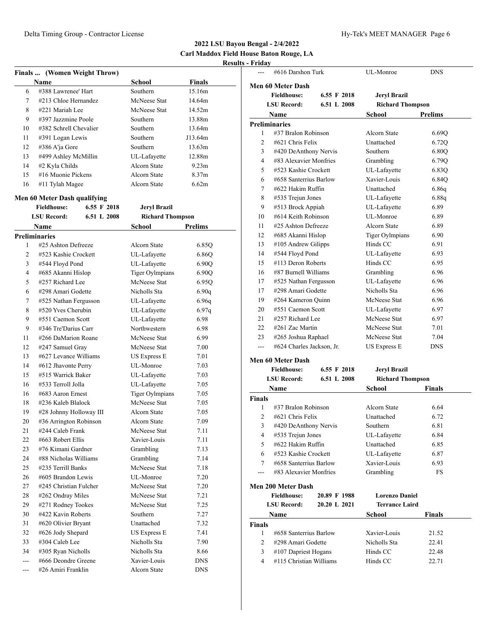| Finals  (Women Weight Throw) |                              |             |                         |                   |
|------------------------------|------------------------------|-------------|-------------------------|-------------------|
|                              | <b>Name</b>                  |             | School                  | Finals            |
| 6                            | #388 Lawrenee' Hart          |             | Southern                | 15.16m            |
| 7                            | #213 Chloe Hernandez         |             | McNeese Stat            | 14.64m            |
| 8                            | #221 Mariah Lee              |             | McNeese Stat            | 14.52m            |
| 9                            | #397 Jazzmine Poole          |             | Southern                | 13.88m            |
| 10                           | #382 Schrell Chevalier       |             | Southern                | 13.64m            |
| 11                           | #391 Logan Lewis             |             | Southern                | J13.64m           |
| 12                           | #386 A'ja Gore               |             | Southern                | 13.63m            |
| 13                           | #499 Ashley McMillin         |             | UL-Lafayette            | 12.88m            |
| 14                           | #2 Kyla Childs               |             | Alcorn State            | 9.23m             |
| 15                           | #16 Muonie Pickens           |             | Alcorn State            | 8.37 <sub>m</sub> |
| 16                           | #11 Tylah Magee              |             | Alcorn State            | 6.62m             |
|                              |                              |             |                         |                   |
|                              | Men 60 Meter Dash qualifying |             |                         |                   |
|                              | <b>Fieldhouse:</b>           | 6.55 F 2018 | <b>Jeryl Brazil</b>     |                   |
|                              | <b>LSU Record:</b>           | 6.51 L 2008 | <b>Richard Thompson</b> |                   |
|                              | Name                         |             | School                  | Prelims           |
|                              | <b>Preliminaries</b>         |             |                         |                   |
| 1                            | #25 Ashton Defreeze          |             | Alcorn State            | 6.85Q             |
| 2                            | #523 Kashie Crockett         |             | UL-Lafayette            | 6.86Q             |
| 3                            | #544 Floyd Pond              |             | UL-Lafayette            | 6.90O             |
| 4                            | #685 Akanni Hislop           |             | <b>Tiger Oylmpians</b>  | 6.90Q             |
| 5                            | #257 Richard Lee             |             | McNeese Stat            | 6.95Q             |
| 6                            | #298 Amari Godette           |             | Nicholls Sta            | 6.90q             |
| 7                            | #525 Nathan Fergusson        |             | UL-Lafayette            | 6.96q             |
| 8                            | #520 Yves Cherubin           |             | UL-Lafayette            | 6.97q             |
| 9                            | #551 Caemon Scott            |             | UL-Lafayette            | 6.98              |
| 9                            | #346 Tre'Darius Carr         |             | Northwestern            | 6.98              |
| 11                           | #266 DaMarion Roane          |             | McNeese Stat            | 6.99              |
| 12                           | #247 Samuel Gray             |             | McNeese Stat            | 7.00              |
| 13                           | #627 Levance Williams        |             | US Express E            | 7.01              |
| 14                           | #612 Jhavonte Perry          |             | UL-Monroe               | 7.03              |
| 15                           | #515 Warrick Baker           |             | UL-Lafayette            | 7.03              |
| 16                           | #533 Terroll Jolla           |             | UL-Lafayette            | 7.05              |
| 16                           | #683 Aaron Ernest            |             | <b>Tiger Oylmpians</b>  | 7.05              |
| 18                           | #236 Kaleb Blalock           |             | McNeese Stat            | 7.05              |
| 19                           | #28 Johnny Holloway III      |             | Alcorn State            | 7.05              |
| 20                           | #36 Arrington Robinson       |             | Alcorn State            | 7.09              |
| 21                           | #244 Caleb Frank             |             | McNeese Stat            | 7.11              |
| 22                           | #663 Robert Ellis            |             | Xavier-Louis            | 7.11              |
| 23                           | #76 Kimani Gardner           |             | Grambling               | 7.13              |
| 24                           | #88 Nicholas Williams        |             | Grambling               | 7.14              |
| 25                           | #235 Terrill Banks           |             | McNeese Stat            | 7.18              |
| 26                           | #605 Brandon Lewis           |             | UL-Monroe               | 7.20              |
| 27                           | #245 Christian Fulcher       |             | McNeese Stat            | 7.20              |
| 28                           | #262 Ondray Miles            |             | McNeese Stat            | 7.21              |
| 29                           | #271 Rodney Tookes           |             | McNeese Stat            | 7.25              |
| 30                           | #422 Kavin Roberts           |             | Southern                | 7.27              |
| 31                           | #620 Olivier Bryant          |             | Unattached              | 7.32              |
| 32                           | #626 Jody Shepard            |             | <b>US Express E</b>     | 7.41              |
| 33                           | #304 Caleb Lee               |             | Nicholls Sta            | 7.90              |
| 34                           | #305 Ryan Nicholls           |             | Nicholls Sta            | 8.66              |
| ---                          | #666 Deondre Greene          |             | Xavier-Louis            | DNS               |
| ---                          | #26 Amiri Franklin           |             | Alcorn State            | DNS               |
|                              |                              |             |                         |                   |

|                          | #616 Darshon Turk                                        |              | UL-Monroe               | DNS            |  |  |
|--------------------------|----------------------------------------------------------|--------------|-------------------------|----------------|--|--|
| <b>Men 60 Meter Dash</b> |                                                          |              |                         |                |  |  |
|                          | <b>Fieldhouse:</b><br>6.55 F 2018<br><b>Jeryl Brazil</b> |              |                         |                |  |  |
|                          | <b>LSU Record:</b>                                       | 6.51 L 2008  | <b>Richard Thompson</b> |                |  |  |
|                          |                                                          |              | School                  | <b>Prelims</b> |  |  |
|                          | Name<br><b>Preliminaries</b>                             |              |                         |                |  |  |
| 1                        | #37 Bralon Robinson                                      |              | Alcorn State            | 6.69Q          |  |  |
| 2                        | #621 Chris Felix                                         |              | Unattached              | 6.72Q          |  |  |
| 3                        | #420 DeAnthony Nervis                                    |              | Southern                | 6.80Q          |  |  |
| 4                        | #83 Alexavier Monfries                                   |              | Grambling               | 6.79Q          |  |  |
| 5                        | #523 Kashie Crockett                                     |              | UL-Lafayette            | 6.83Q          |  |  |
| 6                        | #658 Santerrius Barlow                                   |              | Xavier-Louis            | 6.84Q          |  |  |
| 7                        | #622 Hakim Ruffin                                        |              | Unattached              | 6.86q          |  |  |
| 8                        | #535 Trejun Jones                                        |              | UL-Lafayette            | 6.88q          |  |  |
| 9                        | #513 Brock Appiah                                        |              | UL-Lafayette            | 6.89           |  |  |
| 10                       | #614 Keith Robinson                                      |              | UL-Monroe               | 6.89           |  |  |
| 11                       | #25 Ashton Defreeze                                      |              | Alcorn State            | 6.89           |  |  |
| 12                       | #685 Akanni Hislop                                       |              | <b>Tiger Oylmpians</b>  | 6.90           |  |  |
| 13                       | #105 Andrew Gilipps                                      |              | Hinds CC                | 6.91           |  |  |
| 14                       | #544 Floyd Pond                                          |              | UL-Lafayette            | 6.93           |  |  |
| 15                       | #113 Deron Roberts                                       |              | Hinds CC                | 6.95           |  |  |
| 16                       | #87 Burnell Williams                                     |              | Grambling               | 6.96           |  |  |
| 17                       |                                                          |              | UL-Lafayette            | 6.96           |  |  |
| 17                       | #525 Nathan Fergusson<br>#298 Amari Godette              |              | Nicholls Sta            | 6.96           |  |  |
| 19                       | #264 Kameron Quinn                                       |              | McNeese Stat            | 6.96           |  |  |
| 20                       | #551 Caemon Scott                                        |              | UL-Lafayette            | 6.97           |  |  |
| 21                       | #257 Richard Lee                                         |              | McNeese Stat            | 6.97           |  |  |
| 22                       | $#261$ Zac Martin                                        |              | McNeese Stat            | 7.01           |  |  |
| 23                       | #265 Joshua Raphael                                      |              | McNeese Stat            | 7.04           |  |  |
| $---$                    | #624 Charles Jackson, Jr.                                |              | <b>US Express E</b>     | <b>DNS</b>     |  |  |
|                          |                                                          |              |                         |                |  |  |
|                          | <b>Men 60 Meter Dash</b>                                 |              |                         |                |  |  |
|                          | <b>Fieldhouse:</b>                                       | 6.55 F 2018  | <b>Jeryl Brazil</b>     |                |  |  |
|                          | <b>LSU Record:</b>                                       | 6.51 L 2008  | <b>Richard Thompson</b> |                |  |  |
|                          | Name                                                     |              | School                  | <b>Finals</b>  |  |  |
| <b>Finals</b>            | #37 Bralon Robinson                                      |              |                         |                |  |  |
| 1                        |                                                          |              | Alcorn State            | 6.64           |  |  |
| 2                        | #621 Chris Felix                                         |              | Unattached              | 6.72           |  |  |
| 3                        | #420 DeAnthony Nervis                                    |              | Southern                | 6.81           |  |  |
| 4                        | #535 Trejun Jones<br>#622 Hakim Ruffin                   |              | UL-Lafayette            | 6.84           |  |  |
| 5                        |                                                          |              | Unattached              | 6.85           |  |  |
| 6                        | #523 Kashie Crockett                                     |              | UL-Lafayette            | 6.87           |  |  |
| $\tau$                   | #658 Santerrius Barlow                                   |              | Xavier-Louis            | 6.93           |  |  |
| ---                      | #83 Alexavier Monfries                                   |              | Grambling               | FS             |  |  |
|                          | <b>Men 200 Meter Dash</b>                                |              |                         |                |  |  |
|                          | <b>Fieldhouse:</b>                                       | 20.89 F 1988 | <b>Lorenzo Daniel</b>   |                |  |  |
|                          | <b>LSU Record:</b><br>20.20 L 2021                       |              | <b>Terrance Laird</b>   |                |  |  |
|                          | Name                                                     |              | School                  | <b>Finals</b>  |  |  |
| Finals                   |                                                          |              |                         |                |  |  |
| 1                        | #658 Santerrius Barlow                                   |              | Xavier-Louis            | 21.52          |  |  |
| 2                        | #298 Amari Godette                                       |              | Nicholls Sta            | 22.41          |  |  |
| 3                        | #107 Dapriest Hogans                                     |              | Hinds CC                | 22.48          |  |  |
| 4                        | #115 Christian Williams                                  |              | Hinds CC                | 22.71          |  |  |
|                          |                                                          |              |                         |                |  |  |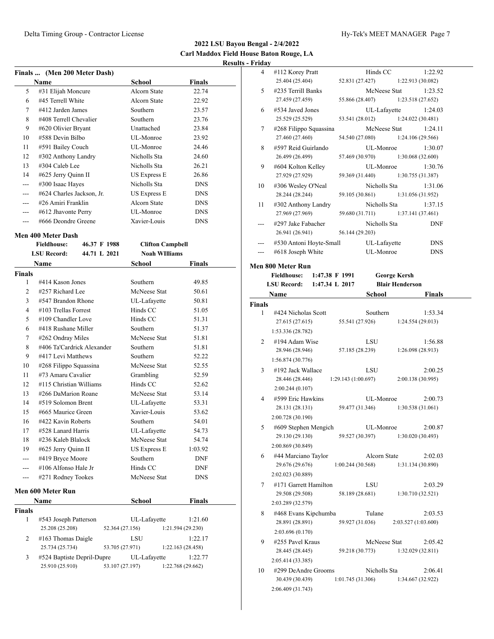**2022 LSU Bayou Bengal - 2/4/2022 Carl Maddox Field House Baton Rouge, LA Results - F** 

|     | Finals  (Men 200 Meter Dash) |                     |               |  |
|-----|------------------------------|---------------------|---------------|--|
|     | Name                         | School              | <b>Finals</b> |  |
| 5   | #31 Elijah Moncure           | Alcorn State        | 22.74         |  |
| 6   | #45 Terrell White            | Alcorn State        | 22.92         |  |
| 7   | #412 Jarden James            | <b>Southern</b>     | 23.57         |  |
| 8   | #408 Terrell Chevalier       | Southern            | 23.76         |  |
| 9   | #620 Olivier Bryant          | Unattached          | 23.84         |  |
| 10  | #588 Devin Bilbo             | UL-Monroe           | 23.92         |  |
| 11  | #591 Bailey Couch            | UL-Monroe           | 24.46         |  |
| 12  | #302 Anthony Landry          | Nicholls Sta        | 24.60         |  |
| 13  | $\#304$ Caleb Lee            | Nicholls Sta        | 26.21         |  |
| 14  | #625 Jerry Quinn II          | US Express E        | 26.86         |  |
| --- | #300 Isaac Hayes             | Nicholls Sta        | <b>DNS</b>    |  |
|     | #624 Charles Jackson, Jr.    | <b>US Express E</b> | <b>DNS</b>    |  |
|     | #26 Amiri Franklin           | Alcorn State        | <b>DNS</b>    |  |
|     | #612 Jhavonte Perry          | UL-Monroe           | <b>DNS</b>    |  |
|     | #666 Deondre Greene          | Xavier-Louis        | <b>DNS</b>    |  |

## **Men 400 Meter Dash**

| <b>Fieldhouse:</b> |                            | 46.37 F 1988 |                 | <b>Clifton Campbell</b> |                      |                   |  |
|--------------------|----------------------------|--------------|-----------------|-------------------------|----------------------|-------------------|--|
|                    | <b>LSU Record:</b>         |              | 44.71 L 2021    |                         | <b>Noah WIlliams</b> |                   |  |
|                    | Name                       |              |                 | School                  |                      | <b>Finals</b>     |  |
| <b>Finals</b>      |                            |              |                 |                         |                      |                   |  |
| 1                  | #414 Kason Jones           |              |                 | Southern                |                      | 49.85             |  |
| 2                  | #257 Richard Lee           |              |                 | McNeese Stat            |                      | 50.61             |  |
| 3                  | #547 Brandon Rhone         |              |                 | UL-Lafayette            |                      | 50.81             |  |
| $\overline{4}$     | $\#103$ Trellas Forrest    |              |                 | Hinds CC                |                      | 51.05             |  |
| 5                  | #109 Chandler Love         |              |                 | Hinds CC                |                      | 51.31             |  |
| 6                  | #418 Rushane Miller        |              |                 | <b>Southern</b>         |                      | 51.37             |  |
| 7                  | #262 Ondray Miles          |              |                 | McNeese Stat            |                      | 51.81             |  |
| 8                  | #406 Ta'Cardrick Alexander |              |                 | Southern                |                      | 51.81             |  |
| 9                  | #417 Levi Matthews         |              |                 | Southern                |                      | 52.22             |  |
| 10                 | #268 Filippo Squassina     |              |                 | McNeese Stat            |                      | 52.55             |  |
| 11                 | #73 Amaru Cavalier         |              |                 | Grambling               |                      | 52.59             |  |
| 12                 | #115 Christian Williams    |              |                 | Hinds CC                |                      | 52.62             |  |
| 13                 | #266 DaMarion Roane        |              |                 | McNeese Stat            |                      | 53.14             |  |
| 14                 | #519 Solomon Brent         |              |                 | UL-Lafayette            |                      | 53.31             |  |
| 15                 | #665 Maurice Green         |              |                 | Xavier-Louis            |                      | 53.62             |  |
| 16                 | #422 Kavin Roberts         |              |                 | Southern                |                      | 54.01             |  |
| 17                 | #528 Lanard Harris         |              |                 | UL-Lafayette            |                      | 54.73             |  |
| 18                 | #236 Kaleb Blalock         |              |                 | McNeese Stat            |                      | 54.74             |  |
| 19                 | #625 Jerry Quinn II        |              |                 | <b>US Express E</b>     |                      | 1:03.92           |  |
|                    | #419 Bryce Moore           |              |                 | Southern                |                      | <b>DNF</b>        |  |
| $---$              | #106 Alfonso Hale Jr       |              |                 | Hinds CC                |                      | <b>DNF</b>        |  |
| $---$              | #271 Rodney Tookes         |              |                 | McNeese Stat            |                      | <b>DNS</b>        |  |
|                    | Men 600 Meter Run          |              |                 |                         |                      |                   |  |
|                    | <b>Name</b>                |              |                 | <b>School</b>           |                      | <b>Finals</b>     |  |
| <b>Finals</b>      |                            |              |                 |                         |                      |                   |  |
| 1                  | #543 Joseph Patterson      |              |                 | UL-Lafayette            |                      | 1:21.60           |  |
|                    | 25.208 (25.208)            |              | 52.364 (27.156) |                         |                      | 1:21.594 (29.230) |  |
| 2                  | #163 Thomas Daigle         |              |                 | LSU                     |                      | 1:22.17           |  |
|                    | 25.734 (25.734)            |              | 53.705 (27.971) |                         |                      | 1:22.163 (28.458) |  |

3 #524 Baptiste Depril-Dupre UL-Lafayette 1:22.77 25.910 (25.910) 53.107 (27.197) 1:22.768 (29.662)

| - Friday                                                    |                                                                                  |                    |                           |                        |                          |
|-------------------------------------------------------------|----------------------------------------------------------------------------------|--------------------|---------------------------|------------------------|--------------------------|
| 4                                                           | #112 Korey Pratt<br>25.404 (25.404)                                              | 52.831 (27.427)    | Hinds CC                  | 1:22.913 (30.082)      | 1:22.92                  |
| 5                                                           | #235 Terrill Banks<br>27.459 (27.459)                                            | 55.866 (28.407)    | McNeese Stat              | 1:23.518 (27.652)      | 1:23.52                  |
| 6                                                           | #534 Javed Jones<br>25.529 (25.529)                                              | 53.541 (28.012)    | UL-Lafayette              | 1:24.022 (30.481)      | 1:24.03                  |
| 7                                                           | #268 Filippo Squassina<br>27.460 (27.460)                                        | 54.540 (27.080)    | McNeese Stat              | 1:24.106(29.566)       | 1:24.11                  |
| 8                                                           | #597 Reid Guirlando<br>26.499 (26.499)                                           | 57.469 (30.970)    | UL-Monroe                 | 1:30.068 (32.600)      | 1:30.07                  |
| 9                                                           | #604 Kolton Kelley<br>27.929 (27.929)                                            | 59.369 (31.440)    | UL-Monroe                 | 1:30.755 (31.387)      | 1:30.76                  |
| 10                                                          | #306 Wesley O'Neal<br>28.244 (28.244)                                            | 59.105 (30.861)    | Nicholls Sta              | 1:31.056 (31.952)      | 1:31.06                  |
| 11                                                          | #302 Anthony Landry<br>27.969 (27.969)                                           | 59.680 (31.711)    | Nicholls Sta              | 1:37.141 (37.461)      | 1:37.15                  |
|                                                             | #297 Jake Fabacher<br>26.941 (26.941)                                            | 56.144 (29.203)    | Nicholls Sta              |                        | <b>DNF</b>               |
|                                                             | #530 Antoni Hoyte-Small<br>#618 Joseph White                                     |                    | UL-Lafayette<br>UL-Monroe |                        | <b>DNS</b><br><b>DNS</b> |
|                                                             | Men 800 Meter Run                                                                |                    |                           |                        |                          |
| <b>Fieldhouse:</b><br>1:47.38 F 1991<br><b>George Kersh</b> |                                                                                  |                    |                           |                        |                          |
|                                                             | <b>LSU Record:</b><br>1:47.34 L 2017                                             |                    |                           | <b>Blair Henderson</b> |                          |
|                                                             | Name                                                                             |                    | School                    |                        | <b>Finals</b>            |
| <b>Finals</b>                                               |                                                                                  |                    |                           |                        |                          |
| 1                                                           | #424 Nicholas Scott<br>27.615 (27.615)                                           | 55.541 (27.926)    | Southern                  | 1:24.554 (29.013)      | 1:53.34                  |
| 2                                                           | 1:53.336 (28.782)<br>#194 Adam Wise                                              |                    | LSU                       |                        | 1:56.88                  |
|                                                             | 28.946 (28.946)<br>1:56.874 (30.776)                                             | 57.185 (28.239)    |                           | 1:26.098 (28.913)      |                          |
| 3                                                           | #192 Jack Wallace<br>28.446 (28.446)<br>2:00.244(0.107)                          | 1:29.143(1:00.697) | LSU                       | 2:00.138 (30.995)      | 2:00.25                  |
| 4                                                           | #599 Eric Hawkins<br>28.131 (28.131)                                             | 59.477 (31.346)    | UL-Monroe                 | 1:30.538 (31.061)      | 2:00.73                  |
| 5                                                           | 2:00.728 (30.190)<br>#609 Stephen Mengich                                        |                    | UL-Monroe                 |                        | 2:00.87                  |
|                                                             | 29.130 (29.130)<br>2:00.869 (30.849)                                             | 59.527 (30.397)    |                           | 1:30.020(30.493)       |                          |
| 6                                                           | #44 Marciano Taylor<br>29.676 (29.676)<br>2:02.023 (30.889)                      | 1:00.244(30.568)   | Alcorn State              | 1:31.134 (30.890)      | 2:02.03                  |
| 7                                                           | #171 Garrett Hamilton<br>29.508 (29.508)                                         | 58.189 (28.681)    | LSU                       | 1:30.710(32.521)       | 2:03.29                  |
|                                                             | 2:03.289 (32.579)                                                                |                    |                           |                        |                          |
| 8                                                           | #468 Evans Kipchumba<br>28.891 (28.891)<br>2:03.696 (0.170)                      | 59.927 (31.036)    | Tulane                    | 2:03.527 (1:03.600)    | 2:03.53                  |
| 9                                                           | #255 Pavel Kraus<br>28.445 (28.445)                                              | 59.218 (30.773)    | McNeese Stat              | 1:32.029(32.811)       | 2:05.42                  |
| 10                                                          | 2:05.414 (33.385)<br>#299 DeAndre Grooms<br>30.439 (30.439)<br>2:06.409 (31.743) | 1:01.745(31.306)   | Nicholls Sta              | 1:34.667 (32.922)      | 2:06.41                  |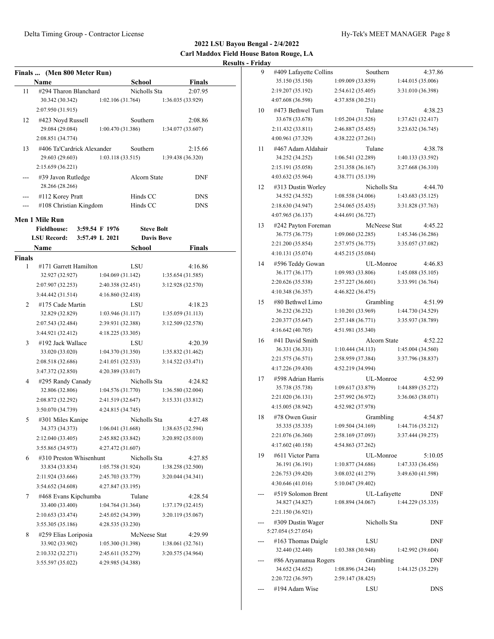|        | Finals  (Men 800 Meter Run) |                   |                   |                   |
|--------|-----------------------------|-------------------|-------------------|-------------------|
|        | Name                        |                   | School            | Finals            |
| 11     | #294 Tharon Blanchard       |                   | Nicholls Sta      | 2:07.95           |
|        | 30.342 (30.342)             | 1:02.106 (31.764) |                   | 1:36.035 (33.929) |
|        | 2:07.950 (31.915)           |                   |                   |                   |
| 12     | #423 Noyd Russell           |                   | Southern          | 2:08.86           |
|        | 29.084 (29.084)             | 1:00.470 (31.386) |                   | 1:34.077(33.607)  |
|        | 2:08.851 (34.774)           |                   |                   |                   |
| 13     | #406 Ta'Cardrick Alexander  |                   | Southern          | 2:15.66           |
|        | 29.603 (29.603)             | 1:03.118(33.515)  |                   | 1:39.438 (36.320) |
|        | 2:15.659 (36.221)           |                   |                   |                   |
|        | #39 Javon Rutledge          |                   | Alcorn State      | DNF               |
|        | 28.266 (28.266)             |                   |                   |                   |
|        | #112 Korey Pratt            |                   | Hinds CC          | <b>DNS</b>        |
| ---    | #108 Christian Kingdom      |                   | Hinds CC          | <b>DNS</b>        |
|        |                             |                   |                   |                   |
|        | Men 1 Mile Run              |                   |                   |                   |
|        | <b>Fieldhouse:</b>          | 3:59.54 F 1976    | <b>Steve Bolt</b> |                   |
|        | <b>LSU Record:</b>          | 3:57.49 L 2021    | <b>Davis Bove</b> |                   |
|        | <b>Name</b>                 |                   | School            | Finals            |
| Finals |                             |                   |                   |                   |
| 1      | #171 Garrett Hamilton       |                   | LSU               | 4:16.86           |
|        | 32.927 (32.927)             | 1:04.069 (31.142) |                   | 1:35.654(31.585)  |
|        | 2:07.907 (32.253)           | 2:40.358 (32.451) |                   | 3:12.928 (32.570) |
|        | 3:44.442 (31.514)           | 4:16.860 (32.418) |                   |                   |
| 2      | #175 Cade Martin            |                   | LSU               | 4:18.23           |
|        | 32.829 (32.829)             | 1:03.946 (31.117) |                   | 1:35.059(31.113)  |
|        | 2:07.543 (32.484)           | 2:39.931 (32.388) |                   | 3:12.509 (32.578) |
|        | 3:44.921 (32.412)           | 4:18.225 (33.305) |                   |                   |
| 3      | #192 Jack Wallace           |                   | LSU               | 4:20.39           |
|        | 33.020 (33.020)             | 1:04.370 (31.350) |                   | 1:35.832 (31.462) |
|        | 2:08.518 (32.686)           | 2:41.051 (32.533) |                   | 3:14.522 (33.471) |
|        | 3:47.372 (32.850)           | 4:20.389 (33.017) |                   |                   |
| 4      | #295 Randy Canady           |                   | Nicholls Sta      | 4:24.82           |
|        | 32.806 (32.806)             | 1:04.576 (31.770) |                   | 1:36.580 (32.004) |
|        | 2:08.872 (32.292)           | 2:41.519 (32.647) |                   | 3:15.331 (33.812) |
|        | 3:50.070 (34.739)           | 4:24.815 (34.745) |                   |                   |
| 5      | #301 Miles Kanipe           |                   | Nicholls Sta      | 4:27.48           |
|        | 34.373 (34.373)             | 1:06.041 (31.668) |                   | 1:38.635 (32.594) |
|        | 2:12.040 (33.405)           | 2:45.882 (33.842) |                   | 3:20.892 (35.010) |
|        | 3:55.865 (34.973)           | 4:27.472 (31.607) |                   |                   |
| 6      | #310 Preston Whisenhunt     |                   | Nicholls Sta      | 4:27.85           |
|        | 33.834 (33.834)             | 1:05.758 (31.924) |                   | 1:38.258 (32.500) |
|        | 2:11.924 (33.666)           | 2:45.703 (33.779) |                   | 3:20.044 (34.341) |
|        | 3:54.652 (34.608)           | 4:27.847 (33.195) |                   |                   |
|        |                             |                   |                   |                   |
| 7      | #468 Evans Kipchumba        |                   | Tulane            | 4:28.54           |
|        | 33.400 (33.400)             | 1:04.764 (31.364) |                   | 1:37.179 (32.415) |
|        | 2:10.653 (33.474)           | 2:45.052 (34.399) |                   | 3:20.119 (35.067) |
|        | 3:55.305 (35.186)           | 4:28.535 (33.230) |                   |                   |
| 8      | #259 Elias Loriposia        |                   | McNeese Stat      | 4:29.99           |
|        | 33.902 (33.902)             | 1:05.300 (31.398) |                   | 1:38.061 (32.761) |
|        | 2:10.332 (32.271)           | 2:45.611 (35.279) |                   | 3:20.575 (34.964) |
|        | 3:55.597 (35.022)           | 4:29.985 (34.388) |                   |                   |
|        |                             |                   |                   |                   |

| 9   | #409 Lafayette Collins | Southern          | 4:37.86           |
|-----|------------------------|-------------------|-------------------|
|     | 35.150 (35.150)        | 1:09.009 (33.859) | 1:44.015 (35.006) |
|     | 2:19.207 (35.192)      | 2:54.612 (35.405) | 3:31.010 (36.398) |
|     | 4:07.608 (36.598)      | 4:37.858 (30.251) |                   |
| 10  | #473 Bethwel Tum       | Tulane            | 4:38.23           |
|     | 33.678 (33.678)        | 1:05.204(31.526)  | 1:37.621 (32.417) |
|     | 2:11.432 (33.811)      | 2:46.887 (35.455) | 3:23.632 (36.745) |
|     | 4:00.961 (37.329)      | 4:38.222 (37.261) |                   |
| 11  | #467 Adam Aldahair     | Tulane            | 4:38.78           |
|     | 34.252 (34.252)        | 1:06.541 (32.289) | 1:40.133 (33.592) |
|     | 2:15.191 (35.058)      | 2:51.358 (36.167) | 3:27.668 (36.310) |
|     | 4:03.632 (35.964)      | 4:38.771 (35.139) |                   |
| 12  | #313 Dustin Worley     | Nicholls Sta      | 4:44.70           |
|     | 34.552 (34.552)        | 1:08.558(34.006)  | 1:43.683 (35.125) |
|     | 2:18.630 (34.947)      | 2:54.065 (35.435) | 3:31.828 (37.763) |
|     | 4:07.965 (36.137)      | 4:44.691 (36.727) |                   |
| 13  | #242 Payton Foreman    | McNeese Stat      | 4:45.22           |
|     | 36.775 (36.775)        | 1:09.060 (32.285) | 1:45.346 (36.286) |
|     | 2:21.200 (35.854)      | 2:57.975 (36.775) | 3:35.057 (37.082) |
|     | 4:10.131 (35.074)      | 4:45.215 (35.084) |                   |
| 14  | #596 Teddy Gowan       | UL-Monroe         | 4:46.83           |
|     | 36.177 (36.177)        | 1:09.983 (33.806) | 1:45.088 (35.105) |
|     | 2:20.626 (35.538)      | 2:57.227 (36.601) | 3:33.991 (36.764) |
|     | 4:10.348 (36.357)      | 4:46.822 (36.475) |                   |
| 15  | #80 Bethwel Limo       | Grambling         | 4:51.99           |
|     | 36.232 (36.232)        | 1:10.201(33.969)  | 1:44.730 (34.529) |
|     | 2:20.377 (35.647)      | 2:57.148 (36.771) | 3:35.937 (38.789) |
|     | 4:16.642 (40.705)      | 4:51.981 (35.340) |                   |
| 16  | #41 David Smith        | Alcorn State      | 4:52.22           |
|     | 36.331 (36.331)        | 1:10.444(34.113)  | 1:45.004 (34.560) |
|     | 2:21.575 (36.571)      | 2:58.959 (37.384) | 3:37.796 (38.837) |
|     | 4:17.226 (39.430)      | 4:52.219 (34.994) |                   |
| 17  | #598 Adrian Harris     | UL-Monroe         | 4:52.99           |
|     | 35.738 (35.738)        | 1:09.617 (33.879) | 1:44.889 (35.272) |
|     | 2:21.020 (36.131)      | 2:57.992 (36.972) | 3:36.063 (38.071) |
|     | 4:15.005 (38.942)      | 4:52.982 (37.978) |                   |
| 18  | #78 Owen Gusir         | Grambling         | 4:54.87           |
|     | 35.335 (35.335)        | 1:09.504 (34.169) | 1:44.716 (35.212) |
|     | 2:21.076 (36.360)      | 2:58.169 (37.093) | 3:37.444 (39.275) |
|     | 4:17.602 (40.158)      | 4:54.863 (37.262) |                   |
| 19  | #611 Victor Parra      | UL-Monroe         | 5:10.05           |
|     | 36.191 (36.191)        | 1:10.877(34.686)  | 1:47.333 (36.456) |
|     | 2:26.753 (39.420)      | 3:08.032 (41.279) | 3:49.630 (41.598) |
|     | 4:30.646 (41.016)      | 5:10.047 (39.402) |                   |
|     | #519 Solomon Brent     | UL-Lafayette      | DNF               |
|     | 34.827 (34.827)        | 1:08.894(34.067)  | 1:44.229 (35.335) |
|     | 2:21.150 (36.921)      |                   |                   |
|     | #309 Dustin Wager      | Nicholls Sta      | <b>DNF</b>        |
|     | 5:27.054 (5:27.054)    |                   |                   |
|     | #163 Thomas Daigle     | LSU               | DNF               |
|     | 32.440 (32.440)        | 1:03.388 (30.948) | 1:42.992 (39.604) |
| --- | #86 Aryamanua Rogers   | Grambling         | DNF               |
|     | 34.652 (34.652)        | 1:08.896 (34.244) | 1:44.125 (35.229) |
|     | 2:20.722 (36.597)      | 2:59.147 (38.425) |                   |
| --- | #194 Adam Wise         | LSU               | DNS.              |
|     |                        |                   |                   |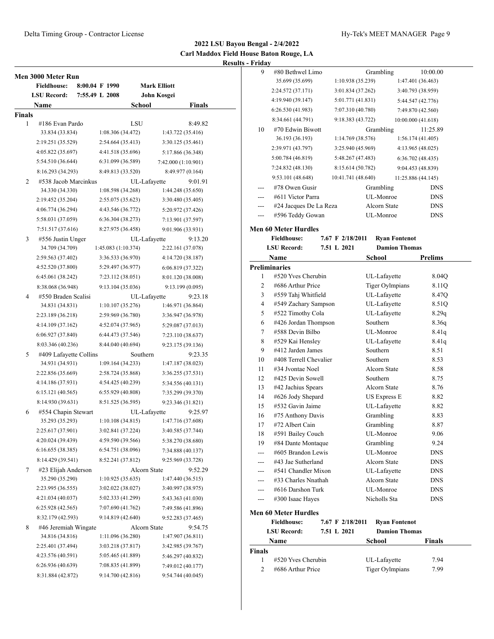| <b>Finals</b><br>8:49.82<br>9:01.91<br>9:13.20 |
|------------------------------------------------|
|                                                |
|                                                |
|                                                |
|                                                |
|                                                |
|                                                |
|                                                |
|                                                |
|                                                |
|                                                |
|                                                |
|                                                |
|                                                |
|                                                |
|                                                |
|                                                |
|                                                |
|                                                |
|                                                |
|                                                |
|                                                |
|                                                |
| 9:23.18                                        |
|                                                |
|                                                |
|                                                |
|                                                |
|                                                |
| 9:23.35                                        |
|                                                |
|                                                |
|                                                |
|                                                |
|                                                |
| 9:25.97                                        |
|                                                |
|                                                |
|                                                |
|                                                |
|                                                |
|                                                |
| 9:52.29                                        |
|                                                |
|                                                |
|                                                |
|                                                |
|                                                |
| 9:54.75                                        |
|                                                |
|                                                |
|                                                |
|                                                |
|                                                |

| - Friday     |                                          |                    |                                              |                    |
|--------------|------------------------------------------|--------------------|----------------------------------------------|--------------------|
| 9            | #80 Bethwel Limo                         |                    | Grambling                                    | 10:00.00           |
|              | 35.699 (35.699)                          | 1:10.938 (35.239)  |                                              | 1:47.401 (36.463)  |
|              | 2:24.572 (37.171)                        | 3:01.834 (37.262)  |                                              | 3:40.793 (38.959)  |
|              | 4:19.940 (39.147)                        | 5:01.771 (41.831)  |                                              | 5:44.547 (42.776)  |
|              | 6:26.530 (41.983)                        | 7:07.310 (40.780)  |                                              | 7:49.870 (42.560)  |
|              | 8:34.661 (44.791)                        | 9:18.383 (43.722)  |                                              | 10:00.000 (41.618) |
| 10           | #70 Edwin Biwott                         |                    | Grambling                                    | 11:25.89           |
|              | 36.193 (36.193)                          | 1:14.769 (38.576)  |                                              | 1:56.174 (41.405)  |
|              | 2:39.971 (43.797)                        | 3:25.940 (45.969)  |                                              | 4:13.965 (48.025)  |
|              | 5:00.784 (46.819)                        | 5:48.267 (47.483)  |                                              | 6:36.702(48.435)   |
|              | 7:24.832 (48.130)                        | 8:15.614 (50.782)  |                                              | 9:04.453 (48.839)  |
|              | 9:53.101 (48.648)                        | 10:41.741 (48.640) |                                              | 11:25.886 (44.145) |
|              | #78 Owen Gusir                           |                    | Grambling                                    | <b>DNS</b>         |
|              | #611 Victor Parra                        |                    | UL-Monroe                                    | <b>DNS</b>         |
| ---          | #24 Jacques De La Reza                   |                    | Alcorn State                                 | DNS                |
| $---$        | #596 Teddy Gowan                         |                    | UL-Monroe                                    | <b>DNS</b>         |
|              |                                          |                    |                                              |                    |
|              | <b>Men 60 Meter Hurdles</b>              | 7.67 F 2/18/2011   |                                              |                    |
|              | <b>Fieldhouse:</b><br><b>LSU Record:</b> | 7.51 L 2021        | <b>Ryan Fontenot</b><br><b>Damion Thomas</b> |                    |
|              |                                          |                    |                                              |                    |
|              | Name<br><b>Preliminaries</b>             |                    | School                                       | Prelims            |
| 1            | #520 Yves Cherubin                       |                    | UL-Lafayette                                 | 8.04Q              |
| 2            | #686 Arthur Price                        |                    | <b>Tiger Oylmpians</b>                       | 8.11Q              |
| 3            | #559 Tahj Whitfield                      |                    | UL-Lafayette                                 | 8.47Q              |
| 4            | #549 Zachary Sampson                     |                    | UL-Lafayette                                 | 8.51Q              |
| 5            | #522 Timothy Cola                        |                    | UL-Lafayette                                 | 8.29q              |
| 6            | #426 Jordan Thompson                     |                    | Southern                                     | 8.36q              |
| 7            | #588 Devin Bilbo                         |                    | UL-Monroe                                    | 8.41q              |
| 8            | #529 Kai Hensley                         |                    | UL-Lafayette                                 | 8.41q              |
| 9            | #412 Jarden James                        |                    | Southern                                     | 8.51               |
| 10           | #408 Terrell Chevalier                   |                    | Southern                                     | 8.53               |
| 11           | #34 Jyontae Noel                         |                    | Alcorn State                                 | 8.58               |
| 12           | #425 Devin Sowell                        |                    | Southern                                     | 8.75               |
| 13           | #42 Jachius Spears                       |                    | Alcorn State                                 | 8.76               |
| 14           | #626 Jody Shepard                        |                    | <b>US Express E</b>                          | 8.82               |
| 15           | #532 Gavin Jaime                         |                    | UL-Lafayette                                 | 8.82               |
| 16           | #75 Anthony Davis                        |                    | Grambling                                    | 8.83               |
| 17           | #72 Albert Cain                          |                    | Grambling                                    | 8.87               |
| 18           | #591 Bailey Couch                        |                    | UL-Monroe                                    | 9.06               |
| 19           | #84 Dante Montaque                       |                    | Grambling                                    | 9.24               |
| ---          | #605 Brandon Lewis                       |                    | UL-Monroe                                    | DNS                |
| ---          | #43 Jae Sutherland                       |                    | Alcorn State                                 | <b>DNS</b>         |
| ---          | #541 Chandler Mixon                      |                    | UL-Lafayette                                 | DNS                |
|              | #33 Charles Nnathah                      |                    | Alcorn State                                 | <b>DNS</b>         |
|              | #616 Darshon Turk                        |                    | UL-Monroe                                    | <b>DNS</b>         |
| $---$        | #300 Isaac Hayes                         |                    | Nicholls Sta                                 | DNS                |
|              | <b>Men 60 Meter Hurdles</b>              |                    |                                              |                    |
|              | <b>Fieldhouse:</b>                       | 7.67 F 2/18/2011   | <b>Ryan Fontenot</b>                         |                    |
|              | <b>LSU Record:</b>                       | 7.51 L 2021        | <b>Damion Thomas</b>                         |                    |
|              | Name                                     |                    | <b>School</b>                                | Finals             |
| Finals       |                                          |                    |                                              |                    |
| $\mathbf{1}$ | #520 Yves Cherubin                       |                    | UL-Lafayette                                 | 7.94               |
| 2            | #686 Arthur Price                        |                    | <b>Tiger Oylmpians</b>                       | 7.99               |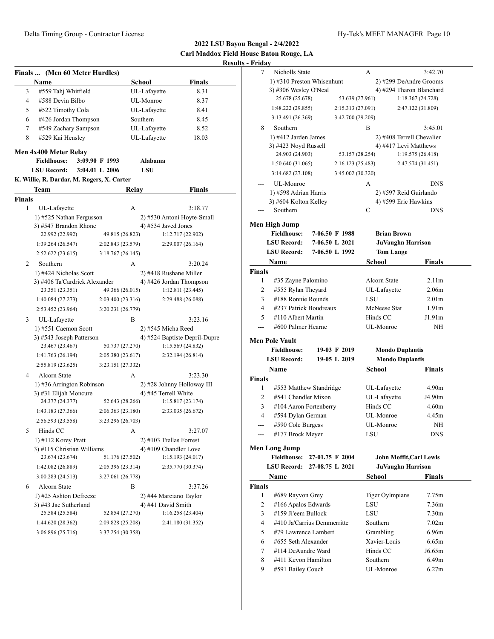**2022 LSU Bayou Bengal - 2/4/2022 Carl Maddox Field House Baton Rouge, LA Results - F** 

|        | Finals  (Men 60 Meter Hurdles)                |                                                                                      |                      |                                            |
|--------|-----------------------------------------------|--------------------------------------------------------------------------------------|----------------------|--------------------------------------------|
|        | Name                                          |                                                                                      | School               | <b>Finals</b>                              |
| 3      | #559 Tahj Whitfield                           |                                                                                      | UL-Lafayette         | 8.31                                       |
| 4      | #588 Devin Bilbo                              |                                                                                      | UL-Monroe            | 8.37                                       |
| 5      | #522 Timothy Cola                             |                                                                                      | UL-Lafayette         | 8.41                                       |
| 6      | #426 Jordan Thompson                          |                                                                                      | Southern             | 8.45                                       |
| 7      | #549 Zachary Sampson                          |                                                                                      | UL-Lafayette         | 8.52                                       |
| 8      | #529 Kai Hensley                              |                                                                                      | UL-Lafayette         | 18.03                                      |
|        | Men 4x400 Meter Relay                         |                                                                                      |                      |                                            |
|        | <b>Fieldhouse:</b>                            | 3:09.90 F 1993                                                                       | Alabama              |                                            |
|        | <b>LSU Record:</b>                            | 3:04.01 L 2006                                                                       | LSU                  |                                            |
|        | K. Willie, R. Dardar, M. Rogers, X. Carter    |                                                                                      |                      |                                            |
|        | Team                                          | Relay                                                                                |                      | Finals                                     |
| Finals |                                               |                                                                                      |                      |                                            |
| 1      | UL-Lafayette                                  | А                                                                                    |                      | 3:18.77                                    |
|        | 1) #525 Nathan Fergusson                      |                                                                                      |                      | 2) #530 Antoni Hoyte-Small                 |
|        | 3) #547 Brandon Rhone                         |                                                                                      | 4) #534 Javed Jones  |                                            |
|        | 22.992 (22.992)                               | 49.815 (26.823)                                                                      |                      | 1:12.717 (22.902)                          |
|        | 1:39.264(26.547)                              | 2:02.843 (23.579)                                                                    |                      | 2:29.007 (26.164)                          |
|        | 2:52.622 (23.615)                             | 3:18.767 (26.145)                                                                    |                      |                                            |
| 2      | Southern                                      | А                                                                                    |                      | 3:20.24                                    |
|        | 1) #424 Nicholas Scott                        |                                                                                      |                      | 2) #418 Rushane Miller                     |
|        | 3) #406 Ta'Cardrick Alexander                 |                                                                                      |                      | 4) #426 Jordan Thompson                    |
|        | 23.351 (23.351)                               | 49.366 (26.015)                                                                      |                      | 1:12.811 (23.445)                          |
|        | 1:40.084 (27.273)                             | 2:03.400 (23.316)                                                                    |                      | 2:29.488 (26.088)                          |
|        | 2:53.452 (23.964)                             | 3:20.231 (26.779)                                                                    |                      |                                            |
| 3      | UL-Lafayette                                  | B                                                                                    |                      | 3:23.16                                    |
|        | 1) #551 Caemon Scott                          |                                                                                      | 2) #545 Micha Reed   |                                            |
|        | 3) #543 Joseph Patterson                      |                                                                                      |                      | 4) #524 Baptiste Depril-Dupre              |
|        | 23.467 (23.467)                               | 50.737 (27.270)                                                                      |                      | 1:15.569 (24.832)                          |
|        | 1:41.763 (26.194)                             | 2:05.380 (23.617)                                                                    |                      | 2:32.194 (26.814)                          |
|        | 2:55.819 (23.625)                             | 3:23.151 (27.332)                                                                    |                      |                                            |
| 4      | <b>Alcorn State</b>                           | А                                                                                    |                      | 3:23.30                                    |
|        | 1) #36 Arrington Robinson                     |                                                                                      |                      | 2) #28 Johnny Holloway III                 |
|        | 3) #31 Elijah Moncure                         |                                                                                      | 4) #45 Terrell White |                                            |
|        | 24.377 (24.377)                               | 52.643 (28.266)                                                                      |                      | 1:15.817(23.174)                           |
|        | 1:43.183 (27.366)                             | 2:06.363 (23.180)                                                                    |                      | 2:33.035 (26.672)                          |
|        | 2:56.593 (23.558)                             | 3:23.296 (26.703)                                                                    |                      |                                            |
| C      | Hinds CC                                      | А                                                                                    |                      | 3:27.07                                    |
|        | 1) #112 Korey Pratt                           |                                                                                      |                      | 2) #103 Trellas Forrest                    |
|        | 3) #115 Christian Williams<br>23.674 (23.674) | 51.176 (27.502)                                                                      |                      | 4) #109 Chandler Love<br>1:15.193 (24.017) |
|        | 1:42.082 (26.889)                             | 2:05.396 (23.314)                                                                    |                      | 2:35.770 (30.374)                          |
|        | 3:00.283 (24.513)                             | 3:27.061 (26.778)                                                                    |                      |                                            |
|        |                                               |                                                                                      |                      |                                            |
| 6      | Alcorn State<br>1) #25 Ashton Defreeze        | B                                                                                    |                      | 3:37.26                                    |
|        | 3) #43 Jae Sutherland                         | 2) #44 Marciano Taylor<br>4) #41 David Smith<br>1:16.258 (23.404)<br>52.854 (27.270) |                      |                                            |
|        | 25.584 (25.584)                               |                                                                                      |                      |                                            |
|        | 1:44.620 (28.362)                             | 2:09.828 (25.208)                                                                    |                      | 2:41.180 (31.352)                          |
|        | 3:06.896 (25.716)                             | 3:37.254 (30.358)                                                                    |                      |                                            |
|        |                                               |                                                                                      |                      |                                            |

| - Friday           |                                                    |                   |                           |                            |
|--------------------|----------------------------------------------------|-------------------|---------------------------|----------------------------|
| 7                  | Nicholls State                                     |                   | А                         | 3:42.70                    |
|                    | 1) #310 Preston Whisenhunt                         |                   | 2) #299 DeAndre Grooms    |                            |
|                    | 3) #306 Wesley O'Neal                              |                   |                           | 4) #294 Tharon Blanchard   |
|                    | 25.678 (25.678)                                    | 53.639 (27.961)   |                           | 1:18.367(24.728)           |
|                    | 1:48.222 (29.855)                                  | 2:15.313 (27.091) |                           | 2:47.122 (31.809)          |
|                    | 3:13.491 (26.369)                                  | 3:42.700 (29.209) |                           |                            |
| 8                  | Southern                                           |                   | B                         | 3:45.01                    |
|                    | 1) #412 Jarden James                               |                   | 2) #408 Terrell Chevalier |                            |
|                    | 3) #423 Noyd Russell                               |                   | 4) #417 Levi Matthews     |                            |
|                    | 24.903 (24.903)                                    | 53.157 (28.254)   |                           | 1:19.575(26.418)           |
|                    | 1:50.640(31.065)                                   | 2:16.123 (25.483) |                           | 2:47.574 (31.451)          |
|                    | 3:14.682(27.108)                                   | 3:45.002 (30.320) |                           |                            |
|                    | UL-Monroe                                          |                   | А                         | <b>DNS</b>                 |
|                    | 1) #598 Adrian Harris                              |                   | 2) #597 Reid Guirlando    |                            |
|                    | 3) #604 Kolton Kelley                              |                   | 4) #599 Eric Hawkins      |                            |
|                    | Southern                                           |                   | C                         | <b>DNS</b>                 |
|                    | Men High Jump                                      |                   |                           |                            |
|                    | <b>Fieldhouse:</b>                                 | 7-06.50 F 1988    | Brian Brown               |                            |
|                    | <b>LSU Record:</b>                                 | 7-06.50 L 2021    | <b>JuVaughn Harrison</b>  |                            |
|                    | <b>LSU Record:</b>                                 | 7-06.50 L 1992    | <b>Tom Lange</b>          |                            |
|                    | Name                                               |                   | School                    | Finals                     |
| <b>Finals</b>      |                                                    |                   |                           |                            |
| 1                  | #35 Zayne Palomino                                 |                   | Alcorn State              | 2.11 <sub>m</sub>          |
| 2                  | #555 Rylan Theyard                                 |                   | UL-Lafayette              | 2.06 <sub>m</sub>          |
| 3                  | #188 Ronnie Rounds                                 |                   | LSU                       | 2.01 <sub>m</sub>          |
| 4                  | #237 Patrick Boudreaux                             |                   | McNeese Stat              | 1.91 <sub>m</sub>          |
| 5                  | #110 Albert Martin                                 |                   | Hinds CC                  | J1.91m                     |
|                    | #600 Palmer Hearne                                 |                   | UL-Monroe                 | NH                         |
|                    |                                                    |                   |                           |                            |
|                    | <b>Men Pole Vault</b>                              |                   |                           |                            |
|                    | <b>Fieldhouse:</b>                                 | 19-03 F 2019      | <b>Mondo Duplantis</b>    |                            |
|                    | <b>LSU Record:</b>                                 | 19-05 L 2019      | <b>Mondo Duplantis</b>    |                            |
|                    | Name                                               |                   | <b>School</b>             | Finals                     |
| <b>Finals</b><br>1 |                                                    |                   | UL-Lafayette              | 4.90m                      |
| 2                  | #553 Matthew Standridge<br>#541 Chandler Mixon     |                   | UL-Lafayette              | J4.90m                     |
| 3                  |                                                    |                   | Hinds CC                  | 4.60m                      |
| 4                  | #104 Aaron Fortenberry                             |                   | UL-Monroe                 | 4.45m                      |
|                    | #594 Dylan German                                  |                   | UL-Monroe                 | NΗ                         |
| ---                | #590 Cole Burgess<br>#177 Brock Meyer              |                   | LSU                       | <b>DNS</b>                 |
|                    |                                                    |                   |                           |                            |
|                    | <b>Men Long Jump</b>                               |                   |                           |                            |
|                    | <b>Fieldhouse:</b>                                 | 27-01.75 F 2004   | John Moffit, Carl Lewis   |                            |
|                    | <b>LSU Record:</b>                                 | 27-08.75 L 2021   | <b>JuVaughn Harrison</b>  |                            |
|                    | Name                                               |                   | School                    | <b>Finals</b>              |
| <b>Finals</b><br>1 | #689 Rayvon Grey                                   |                   | <b>Tiger Oylmpians</b>    |                            |
|                    |                                                    |                   |                           | 7.75m<br>7.36m             |
| 2<br>3             | #166 Apalos Edwards                                |                   | LSU<br>LSU                | 7.30 <sub>m</sub>          |
| 4                  | #159 Ji'eem Bullock<br>#410 Ja'Carrius Demmerritte |                   |                           |                            |
| 5                  | #79 Lawrence Lambert                               |                   | Southern<br>Grambling     | 7.02 <sub>m</sub><br>6.96m |
| 6                  |                                                    |                   | Xavier-Louis              | 6.65m                      |
| 7                  | #655 Seth Alexander<br>#114 DeAundre Ward          |                   | Hinds CC                  | J6.65m                     |
| 8                  | #411 Kevon Hamilton                                |                   | Southern                  | 6.49m                      |
| 9                  |                                                    |                   | UL-Monroe                 | 6.27m                      |
|                    | #591 Bailey Couch                                  |                   |                           |                            |